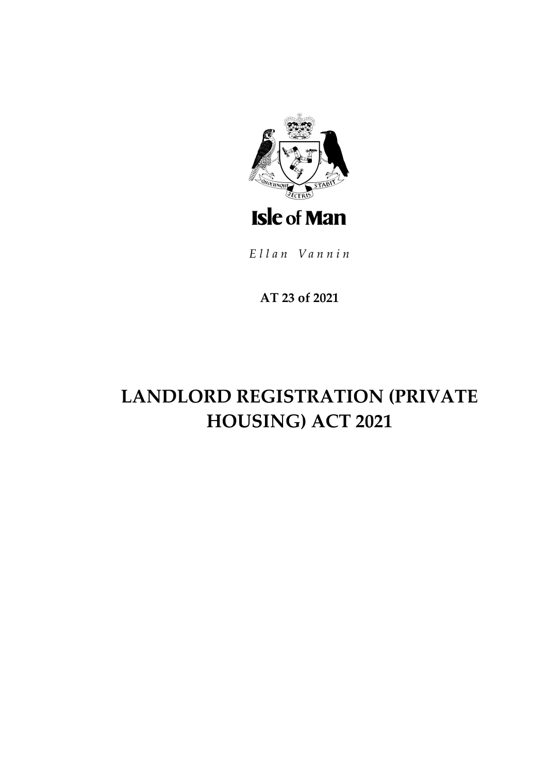

Ellan Vannin

**AT 23 of 2021**

# **LANDLORD REGISTRATION (PRIVATE HOUSING) ACT 2021**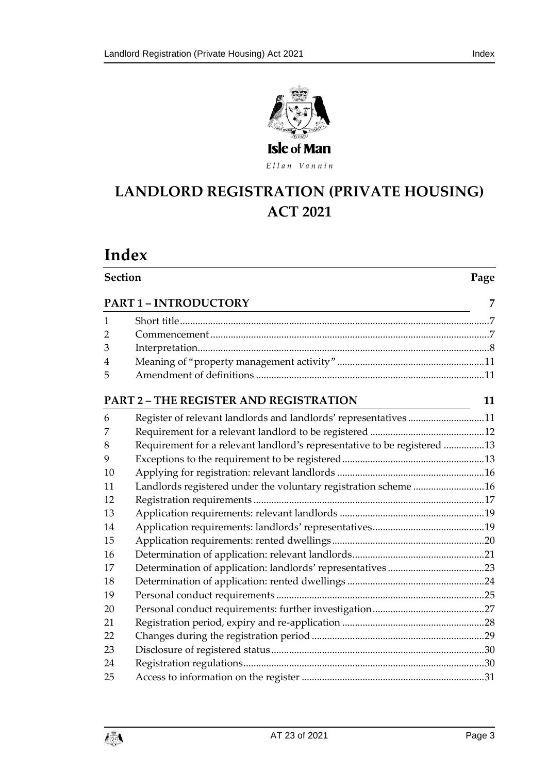

Ellan Vannin

## LANDLORD REGISTRATION (PRIVATE HOUSING) **ACT 2021**

## **Index**

|                                                                                                                                                        | <b>Section</b>                                                           |    |
|--------------------------------------------------------------------------------------------------------------------------------------------------------|--------------------------------------------------------------------------|----|
| <b>PART 1 - INTRODUCTORY</b><br><u> 1989 - Johann Stoff, deutscher Stoffen und der Stoffen und der Stoffen und der Stoffen und der Stoffen und der</u> |                                                                          | 7  |
| 1                                                                                                                                                      |                                                                          |    |
| 2                                                                                                                                                      |                                                                          |    |
| 3                                                                                                                                                      |                                                                          |    |
| 4                                                                                                                                                      |                                                                          |    |
| 5                                                                                                                                                      |                                                                          |    |
|                                                                                                                                                        | <b>PART 2 - THE REGISTER AND REGISTRATION</b>                            | 11 |
| 6                                                                                                                                                      | Register of relevant landlords and landlords' representatives 11         |    |
| 7                                                                                                                                                      |                                                                          |    |
| 8                                                                                                                                                      | Requirement for a relevant landlord's representative to be registered 13 |    |
| 9                                                                                                                                                      |                                                                          |    |
| 10                                                                                                                                                     |                                                                          |    |
| 11                                                                                                                                                     | Landlords registered under the voluntary registration scheme 16          |    |
| 12                                                                                                                                                     |                                                                          |    |
| 13                                                                                                                                                     |                                                                          |    |
| 14                                                                                                                                                     |                                                                          |    |
| 15                                                                                                                                                     |                                                                          |    |
| 16                                                                                                                                                     |                                                                          |    |
| 17                                                                                                                                                     |                                                                          |    |
| 18                                                                                                                                                     |                                                                          |    |
| 19                                                                                                                                                     |                                                                          |    |
| 20                                                                                                                                                     |                                                                          |    |
| 21                                                                                                                                                     |                                                                          |    |
| 22                                                                                                                                                     |                                                                          |    |
| 23                                                                                                                                                     |                                                                          |    |
| 24                                                                                                                                                     |                                                                          |    |
| 25                                                                                                                                                     |                                                                          |    |

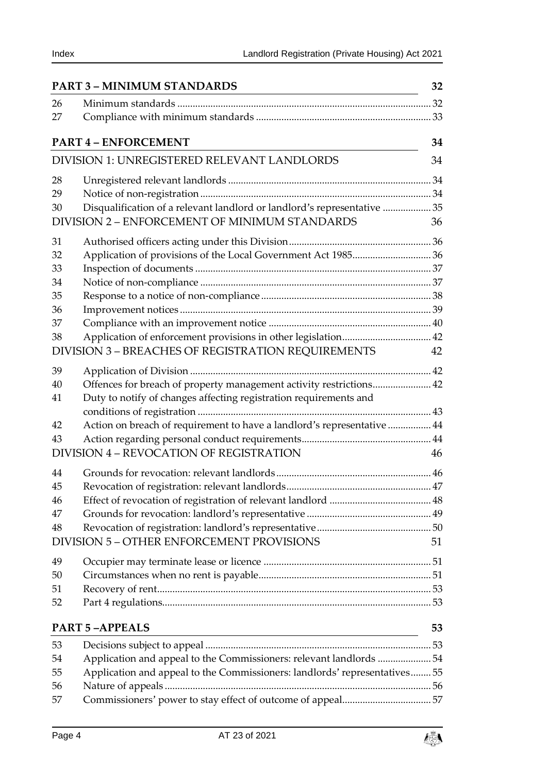| <b>PART 3 - MINIMUM STANDARDS</b> |                                                                            | 32 |  |
|-----------------------------------|----------------------------------------------------------------------------|----|--|
| 26                                |                                                                            |    |  |
| 27                                |                                                                            |    |  |
|                                   | <b>PART 4 - ENFORCEMENT</b>                                                |    |  |
|                                   | DIVISION 1: UNREGISTERED RELEVANT LANDLORDS                                |    |  |
| 28                                |                                                                            |    |  |
| 29                                |                                                                            |    |  |
| 30                                | Disqualification of a relevant landlord or landlord's representative  35   |    |  |
|                                   | DIVISION 2 - ENFORCEMENT OF MINIMUM STANDARDS                              | 36 |  |
| 31                                |                                                                            |    |  |
| 32                                |                                                                            |    |  |
| 33                                |                                                                            |    |  |
| 34                                |                                                                            |    |  |
| 35                                |                                                                            |    |  |
| 36                                |                                                                            |    |  |
| 37                                |                                                                            |    |  |
| 38                                |                                                                            |    |  |
|                                   | DIVISION 3 - BREACHES OF REGISTRATION REQUIREMENTS                         | 42 |  |
| 39                                |                                                                            |    |  |
| 40                                | Offences for breach of property management activity restrictions 42        |    |  |
| 41                                | Duty to notify of changes affecting registration requirements and          |    |  |
|                                   |                                                                            |    |  |
| 42                                | Action on breach of requirement to have a landlord's representative  44    |    |  |
| 43                                |                                                                            |    |  |
|                                   | DIVISION 4 - REVOCATION OF REGISTRATION                                    | 46 |  |
| 44                                |                                                                            |    |  |
| 45                                |                                                                            |    |  |
| 46                                |                                                                            |    |  |
| 47                                |                                                                            |    |  |
| 48                                |                                                                            |    |  |
|                                   | DIVISION 5 - OTHER ENFORCEMENT PROVISIONS                                  | 51 |  |
| 49                                |                                                                            |    |  |
| 50                                |                                                                            |    |  |
| 51                                |                                                                            |    |  |
| 52                                |                                                                            |    |  |
|                                   | <b>PART 5-APPEALS</b>                                                      | 53 |  |
| 53                                |                                                                            |    |  |
| 54                                | Application and appeal to the Commissioners: relevant landlords 54         |    |  |
| 55                                | Application and appeal to the Commissioners: landlords' representatives 55 |    |  |
| 56                                |                                                                            |    |  |
| 57                                |                                                                            |    |  |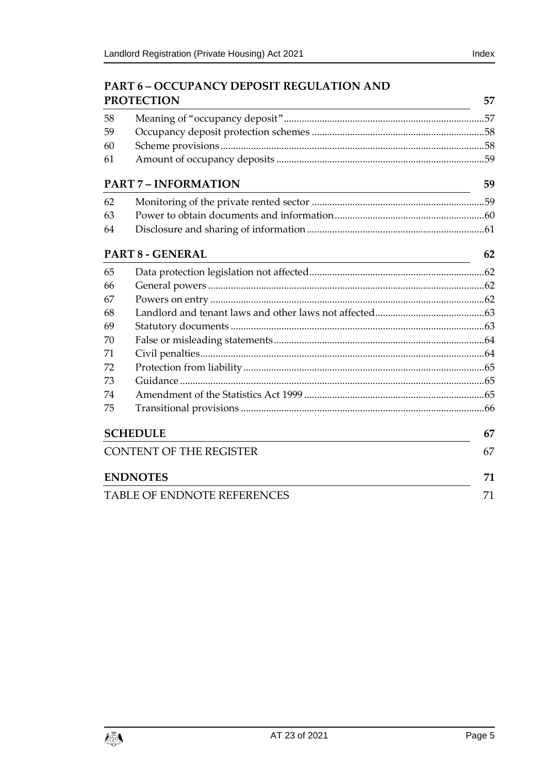### **PART 6 – [OCCUPANCY DEPOSIT REGULATION AND](#page-56-1)  [PROTECTION](#page-56-1) 57**

|                                | 1 IW LECTIVIY                                                                                                                                       | J 1 |
|--------------------------------|-----------------------------------------------------------------------------------------------------------------------------------------------------|-----|
| 58                             |                                                                                                                                                     |     |
| 59                             |                                                                                                                                                     |     |
| 60                             |                                                                                                                                                     |     |
| 61                             |                                                                                                                                                     |     |
|                                | <b>PART 7 - INFORMATION</b><br><u> 1980 - Johann Barn, mars ann an t-Amhain Aonaich an t-Aonaich an t-Aonaich ann an t-Aonaich ann an t-Aonaich</u> | 59  |
| 62                             |                                                                                                                                                     |     |
| 63                             |                                                                                                                                                     |     |
| 64                             |                                                                                                                                                     |     |
| <b>PART 8 - GENERAL</b>        | 62<br><u> 1980 - Johann Barn, mars ann an t-Amhain Aonaich an t-Aonaich an t-Aonaich ann an t-Aonaich ann an t-Aonaich</u>                          |     |
| 65                             |                                                                                                                                                     |     |
| 66                             |                                                                                                                                                     |     |
| 67                             |                                                                                                                                                     |     |
| 68                             |                                                                                                                                                     |     |
| 69                             |                                                                                                                                                     |     |
| 70                             |                                                                                                                                                     |     |
| 71                             |                                                                                                                                                     |     |
| 72                             |                                                                                                                                                     |     |
| 73                             |                                                                                                                                                     |     |
| 74                             |                                                                                                                                                     |     |
| 75                             |                                                                                                                                                     |     |
| <b>SCHEDULE</b>                |                                                                                                                                                     |     |
| <b>CONTENT OF THE REGISTER</b> |                                                                                                                                                     |     |
|                                | <b>ENDNOTES</b>                                                                                                                                     | 71  |
| TABLE OF ENDNOTE REFERENCES    |                                                                                                                                                     | 71  |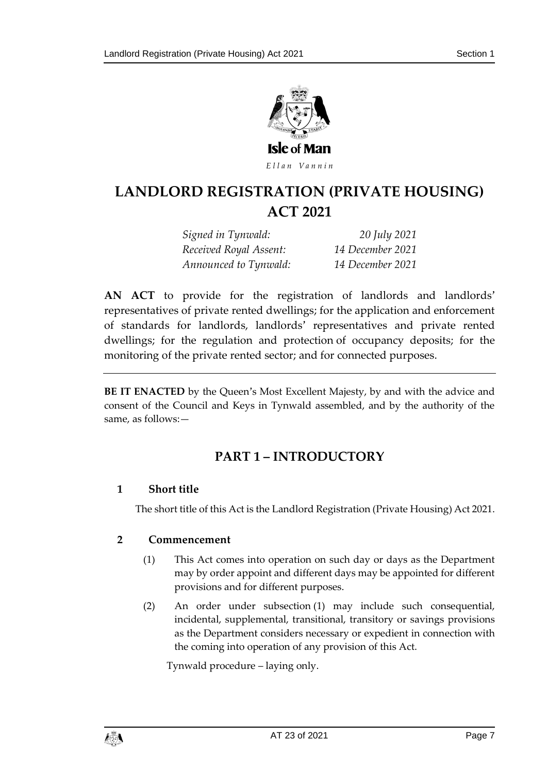

Ellan Vannin

## LANDLORD REGISTRATION (PRIVATE HOUSING) **ACT 2021**

*Signed in Tynwald: 20 July 2021 Received Royal Assent: 14 December 2021 Announced to Tynwald: 14 December 2021* 

**AN ACT** to provide for the registration of landlords and landlords' representatives of private rented dwellings; for the application and enforcement of standards for landlords, landlords' representatives and private rented dwellings; for the regulation and protection of occupancy deposits; for the monitoring of the private rented sector; and for connected purposes.

<span id="page-6-0"></span>**BE IT ENACTED** by the Queen's Most Excellent Majesty, by and with the advice and consent of the Council and Keys in Tynwald assembled, and by the authority of the same, as follows:—

## **PART 1 – INTRODUCTORY**

#### <span id="page-6-1"></span>**1 Short title**

The short title of this Act is the Landlord Registration (Private Housing) Act 2021.

#### <span id="page-6-3"></span><span id="page-6-2"></span>**2 Commencement**

- (1) This Act comes into operation on such day or days as the Department may by order appoint and different days may be appointed for different provisions and for different purposes.
- (2) An order under subsection (1) may include such consequential, incidental, supplemental, transitional, transitory or savings provisions as the Department considers necessary or expedient in connection with the coming into operation of any provision of this Act.

Tynwald procedure – laying only.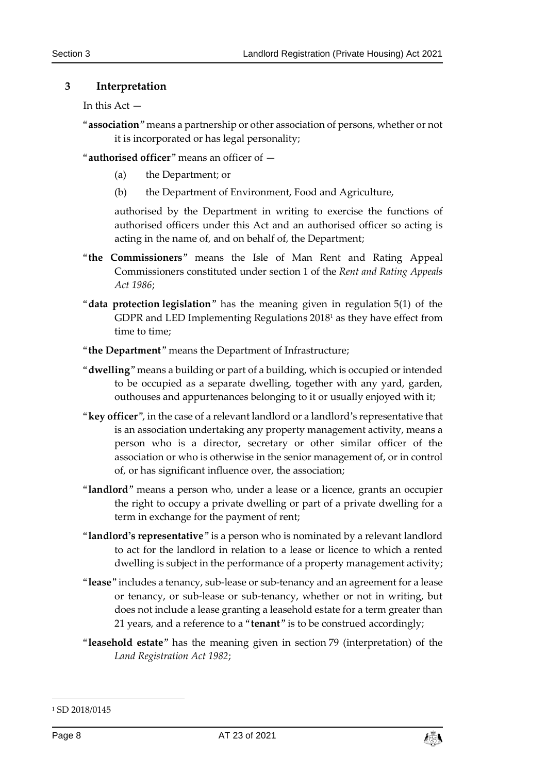#### <span id="page-7-0"></span>**3 Interpretation**

```
In this Act -
```
"**association**" means a partnership or other association of persons, whether or not it is incorporated or has legal personality;

"**authorised officer**" means an officer of —

- (a) the Department; or
- (b) the Department of Environment, Food and Agriculture,

authorised by the Department in writing to exercise the functions of authorised officers under this Act and an authorised officer so acting is acting in the name of, and on behalf of, the Department;

- "**the Commissioners**" means the Isle of Man Rent and Rating Appeal Commissioners constituted under section 1 of the *Rent and Rating Appeals Act 1986*;
- "**data protection legislation**" has the meaning given in regulation 5(1) of the GDPR and LED Implementing Regulations 2018<sup>1</sup> as they have effect from time to time;
- "**the Department**" means the Department of Infrastructure;
- "**dwelling**" means a building or part of a building, which is occupied or intended to be occupied as a separate dwelling, together with any yard, garden, outhouses and appurtenances belonging to it or usually enjoyed with it;
- "**key officer**", in the case of a relevant landlord or a landlord's representative that is an association undertaking any property management activity, means a person who is a director, secretary or other similar officer of the association or who is otherwise in the senior management of, or in control of, or has significant influence over, the association;
- "**landlord**" means a person who, under a lease or a licence, grants an occupier the right to occupy a private dwelling or part of a private dwelling for a term in exchange for the payment of rent;
- "**landlord's representative**" is a person who is nominated by a relevant landlord to act for the landlord in relation to a lease or licence to which a rented dwelling is subject in the performance of a property management activity;
- "**lease**" includes a tenancy, sub-lease or sub-tenancy and an agreement for a lease or tenancy, or sub-lease or sub-tenancy, whether or not in writing, but does not include a lease granting a leasehold estate for a term greater than 21 years, and a reference to a "**tenant**" is to be construed accordingly;
- "**leasehold estate**" has the meaning given in section 79 (interpretation) of the *Land Registration Act 1982*;

-



<sup>&</sup>lt;sup>1</sup> SD 2018/0145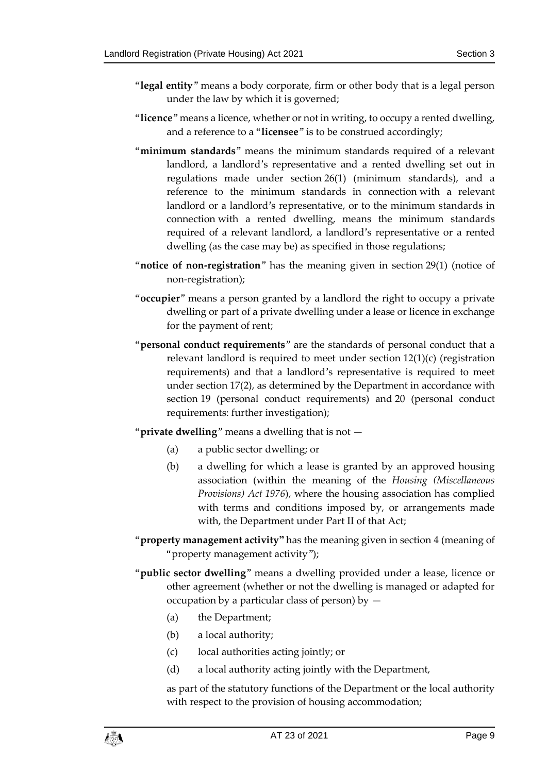- "**legal entity**" means a body corporate, firm or other body that is a legal person under the law by which it is governed;
- "**licence**" means a licence, whether or not in writing, to occupy a rented dwelling, and a reference to a "**licensee**" is to be construed accordingly;
- "**minimum standards**" means the minimum standards required of a relevant landlord, a landlord's representative and a rented dwelling set out in regulations made under section [26\(1\)](#page-31-2) (minimum standards), and a reference to the minimum standards in connection with a relevant landlord or a landlord's representative, or to the minimum standards in connection with a rented dwelling, means the minimum standards required of a relevant landlord, a landlord's representative or a rented dwelling (as the case may be) as specified in those regulations;
- "**notice of non-registration**" has the meaning given in section [29\(1\)](#page-33-4) (notice of non-registration);
- "**occupier**" means a person granted by a landlord the right to occupy a private dwelling or part of a private dwelling under a lease or licence in exchange for the payment of rent;
- "**personal conduct requirements**" are the standards of personal conduct that a relevant landlord is required to meet under section [12\(1\)\(](#page-16-1)c) (registration requirements) and that a landlord's representative is required to meet under section [17\(2\),](#page-22-1) as determined by the Department in accordance with section [19](#page-24-0) (personal conduct requirements) and [20](#page-26-0) (personal conduct requirements: further investigation);

"**private dwelling**" means a dwelling that is not —

- (a) a public sector dwelling; or
- (b) a dwelling for which a lease is granted by an approved housing association (within the meaning of the *Housing (Miscellaneous Provisions) Act 1976*), where the housing association has complied with terms and conditions imposed by, or arrangements made with, the Department under Part II of that Act;
- "**property management activity"** has the meaning given in section [4](#page-10-0) (meaning of "property management activity");
- "**public sector dwelling**" means a dwelling provided under a lease, licence or other agreement (whether or not the dwelling is managed or adapted for occupation by a particular class of person) by  $-$ 
	- (a) the Department;
	- (b) a local authority;
	- (c) local authorities acting jointly; or
	- (d) a local authority acting jointly with the Department,

as part of the statutory functions of the Department or the local authority with respect to the provision of housing accommodation;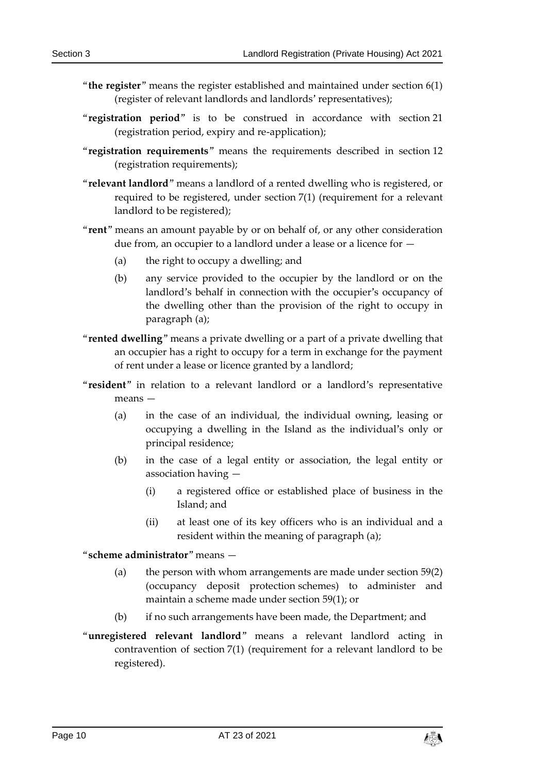- "**the register**" means the register established and maintained under section [6\(1\)](#page-10-4) (register of relevant landlords and landlords' representatives);
- "**registration period**" is to be construed in accordance with section [21](#page-27-0) (registration period, expiry and re-application);
- "**registration requirements**" means the requirements described in section [12](#page-16-0) (registration requirements);
- "**relevant landlord**" means a landlord of a rented dwelling who is registered, or required to be registered, under section [7\(1\)](#page-11-1) (requirement for a relevant landlord to be registered);
- "**rent**" means an amount payable by or on behalf of, or any other consideration due from, an occupier to a landlord under a lease or a licence for —
	- (a) the right to occupy a dwelling; and
	- (b) any service provided to the occupier by the landlord or on the landlord's behalf in connection with the occupier's occupancy of the dwelling other than the provision of the right to occupy in paragraph (a);
- "**rented dwelling**" means a private dwelling or a part of a private dwelling that an occupier has a right to occupy for a term in exchange for the payment of rent under a lease or licence granted by a landlord;
- "**resident**" in relation to a relevant landlord or a landlord's representative means —
	- (a) in the case of an individual, the individual owning, leasing or occupying a dwelling in the Island as the individual's only or principal residence;
	- (b) in the case of a legal entity or association, the legal entity or association having —
		- (i) a registered office or established place of business in the Island; and
		- (ii) at least one of its key officers who is an individual and a resident within the meaning of paragraph (a);

"**scheme administrator**" means —

- (a) the person with whom arrangements are made under section [59\(2\)](#page-57-2) (occupancy deposit protection schemes) to administer and maintain a scheme made under section [59\(1\);](#page-57-3) or
- (b) if no such arrangements have been made, the Department; and
- "**unregistered relevant landlord**" means a relevant landlord acting in contravention of section [7\(1\)](#page-11-1) (requirement for a relevant landlord to be registered).

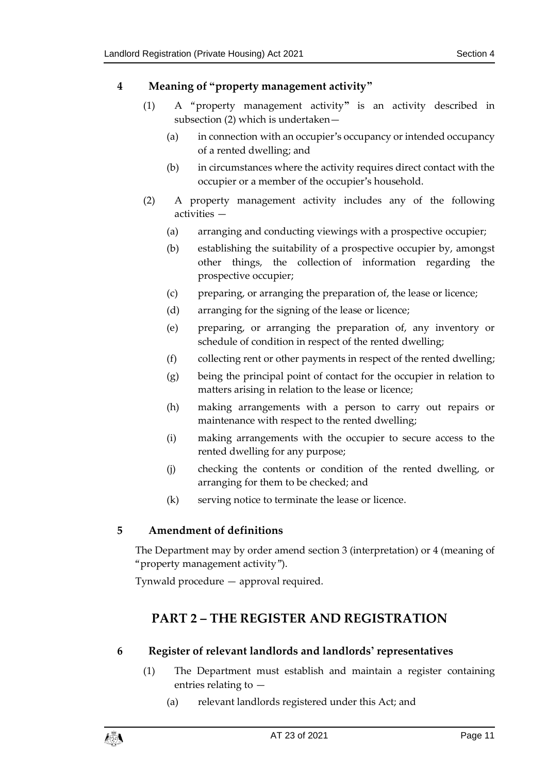#### <span id="page-10-0"></span>**4 Meaning of "property management activity"**

- (1) A "property management activity**"** is an activity described in subsection (2) which is undertaken—
	- (a) in connection with an occupier's occupancy or intended occupancy of a rented dwelling; and
	- (b) in circumstances where the activity requires direct contact with the occupier or a member of the occupier's household.
- (2) A property management activity includes any of the following activities —
	- (a) arranging and conducting viewings with a prospective occupier;
	- (b) establishing the suitability of a prospective occupier by, amongst other things, the collection of information regarding the prospective occupier;
	- (c) preparing, or arranging the preparation of, the lease or licence;
	- (d) arranging for the signing of the lease or licence;
	- (e) preparing, or arranging the preparation of, any inventory or schedule of condition in respect of the rented dwelling;
	- (f) collecting rent or other payments in respect of the rented dwelling;
	- (g) being the principal point of contact for the occupier in relation to matters arising in relation to the lease or licence;
	- (h) making arrangements with a person to carry out repairs or maintenance with respect to the rented dwelling;
	- (i) making arrangements with the occupier to secure access to the rented dwelling for any purpose;
	- (j) checking the contents or condition of the rented dwelling, or arranging for them to be checked; and
	- (k) serving notice to terminate the lease or licence.

#### <span id="page-10-1"></span>**5 Amendment of definitions**

The Department may by order amend section [3](#page-7-0) (interpretation) or [4](#page-10-0) (meaning of "property management activity").

<span id="page-10-2"></span>Tynwald procedure — approval required.

## **PART 2 – THE REGISTER AND REGISTRATION**

#### <span id="page-10-4"></span><span id="page-10-3"></span>**6 Register of relevant landlords and landlords' representatives**

- (1) The Department must establish and maintain a register containing entries relating to —
	- (a) relevant landlords registered under this Act; and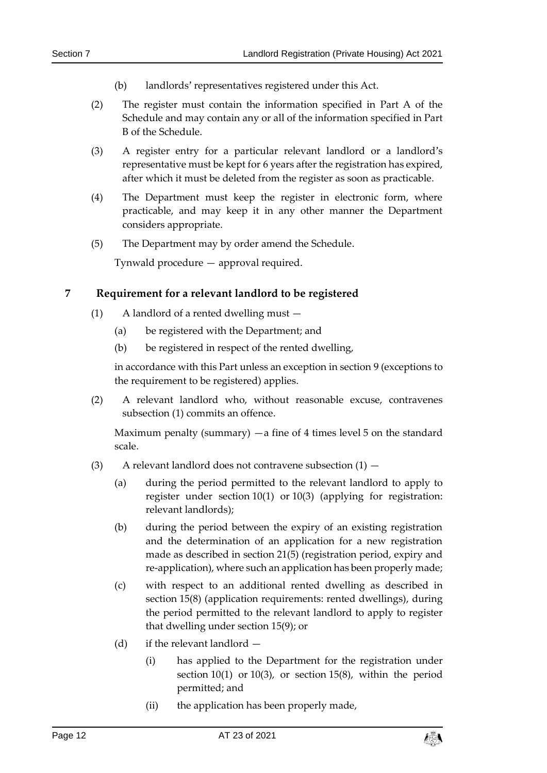- (b) landlords' representatives registered under this Act.
- <span id="page-11-3"></span>(2) The register must contain the information specified in Part A of the Schedule and may contain any or all of the information specified in Part B of the Schedule.
- (3) A register entry for a particular relevant landlord or a landlord's representative must be kept for 6 years after the registration has expired, after which it must be deleted from the register as soon as practicable.
- (4) The Department must keep the register in electronic form, where practicable, and may keep it in any other manner the Department considers appropriate.
- (5) The Department may by order amend the Schedule.

Tynwald procedure — approval required.

#### <span id="page-11-1"></span><span id="page-11-0"></span>**7 Requirement for a relevant landlord to be registered**

- (1) A landlord of a rented dwelling must
	- (a) be registered with the Department; and
	- (b) be registered in respect of the rented dwelling,

in accordance with this Part unless an exception in section [9](#page-12-1) (exceptions to the requirement to be registered) applies.

<span id="page-11-4"></span>(2) A relevant landlord who, without reasonable excuse, contravenes subsection (1) commits an offence.

Maximum penalty (summary)  $-a$  fine of 4 times level 5 on the standard scale.

- <span id="page-11-2"></span>(3) A relevant landlord does not contravene subsection  $(1)$  –
	- (a) during the period permitted to the relevant landlord to apply to register under section [10\(1\)](#page-15-2) or [10\(3\)](#page-15-3) (applying for registration: relevant landlords);
	- (b) during the period between the expiry of an existing registration and the determination of an application for a new registration made as described in section [21\(5\)](#page-27-1) (registration period, expiry and re-application), where such an application has been properly made;
	- (c) with respect to an additional rented dwelling as described in section [15\(8\)](#page-19-1) (application requirements: rented dwellings), during the period permitted to the relevant landlord to apply to register that dwelling under section [15\(9\);](#page-20-1) or
	- (d) if the relevant landlord
		- (i) has applied to the Department for the registration under section [10\(1\)](#page-15-2) or [10\(3\),](#page-15-3) or section [15\(8\),](#page-19-1) within the period permitted; and
		- (ii) the application has been properly made,

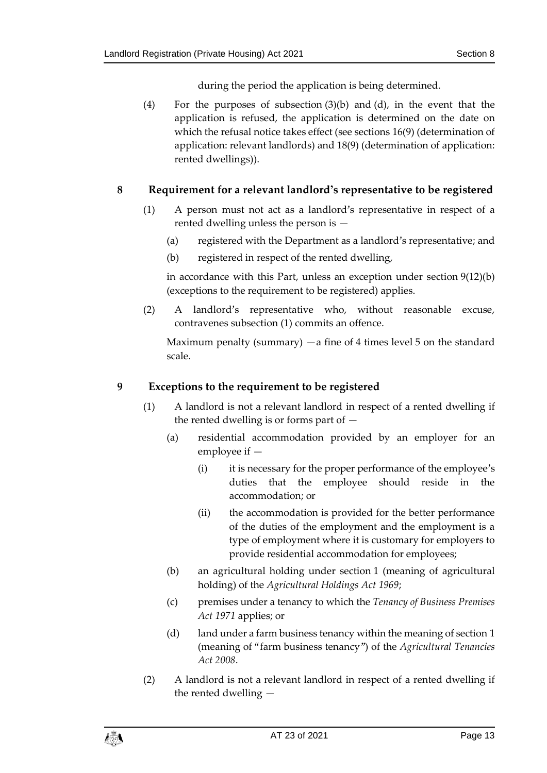during the period the application is being determined.

(4) For the purposes of subsection (3)(b) and (d), in the event that the application is refused, the application is determined on the date on which the refusal notice takes effect (see sections [16\(9\)](#page-21-0) (determination of application: relevant landlords) and [18\(9\)](#page-24-1) (determination of application: rented dwellings)).

#### <span id="page-12-0"></span>**8 Requirement for a relevant landlord's representative to be registered**

- (1) A person must not act as a landlord's representative in respect of a rented dwelling unless the person is —
	- (a) registered with the Department as a landlord's representative; and
	- (b) registered in respect of the rented dwelling,

in accordance with this Part, unless an exception under section [9\(12\)\(](#page-14-0)b) (exceptions to the requirement to be registered) applies.

<span id="page-12-2"></span>(2) A landlord's representative who, without reasonable excuse, contravenes subsection (1) commits an offence.

Maximum penalty (summary)  $-a$  fine of 4 times level 5 on the standard scale.

#### <span id="page-12-1"></span>**9 Exceptions to the requirement to be registered**

- (1) A landlord is not a relevant landlord in respect of a rented dwelling if the rented dwelling is or forms part of  $-$ 
	- (a) residential accommodation provided by an employer for an employee if —
		- (i) it is necessary for the proper performance of the employee's duties that the employee should reside in the accommodation; or
		- (ii) the accommodation is provided for the better performance of the duties of the employment and the employment is a type of employment where it is customary for employers to provide residential accommodation for employees;
	- (b) an agricultural holding under section 1 (meaning of agricultural holding) of the *Agricultural Holdings Act 1969*;
	- (c) premises under a tenancy to which the *Tenancy of Business Premises Act 1971* applies; or
	- (d) land under a farm business tenancy within the meaning of section 1 (meaning of "farm business tenancy") of the *Agricultural Tenancies Act 2008*.
- (2) A landlord is not a relevant landlord in respect of a rented dwelling if the rented dwelling —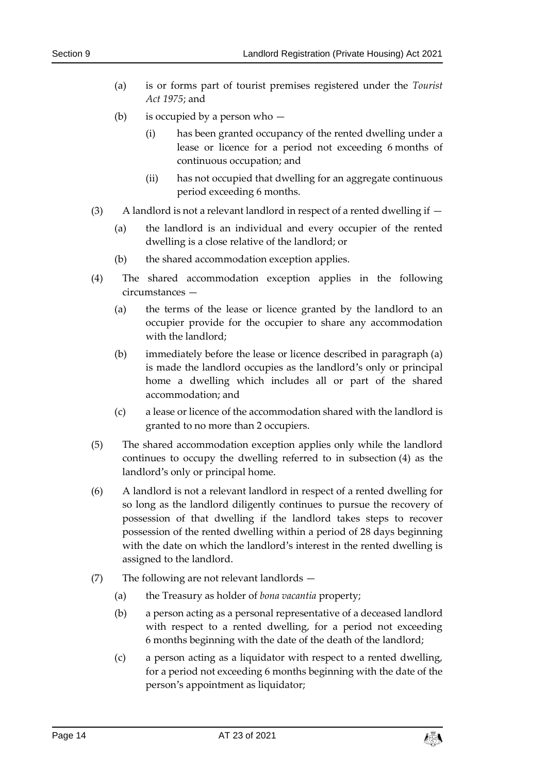- (a) is or forms part of tourist premises registered under the *Tourist Act 1975*; and
- (b) is occupied by a person who
	- (i) has been granted occupancy of the rented dwelling under a lease or licence for a period not exceeding 6 months of continuous occupation; and
	- (ii) has not occupied that dwelling for an aggregate continuous period exceeding 6 months.
- (3) A landlord is not a relevant landlord in respect of a rented dwelling if
	- (a) the landlord is an individual and every occupier of the rented dwelling is a close relative of the landlord; or
	- (b) the shared accommodation exception applies.
- (4) The shared accommodation exception applies in the following circumstances —
	- (a) the terms of the lease or licence granted by the landlord to an occupier provide for the occupier to share any accommodation with the landlord;
	- (b) immediately before the lease or licence described in paragraph (a) is made the landlord occupies as the landlord's only or principal home a dwelling which includes all or part of the shared accommodation; and
	- (c) a lease or licence of the accommodation shared with the landlord is granted to no more than 2 occupiers.
- (5) The shared accommodation exception applies only while the landlord continues to occupy the dwelling referred to in subsection (4) as the landlord's only or principal home.
- (6) A landlord is not a relevant landlord in respect of a rented dwelling for so long as the landlord diligently continues to pursue the recovery of possession of that dwelling if the landlord takes steps to recover possession of the rented dwelling within a period of 28 days beginning with the date on which the landlord's interest in the rented dwelling is assigned to the landlord.
- (7) The following are not relevant landlords
	- (a) the Treasury as holder of *bona vacantia* property;
	- (b) a person acting as a personal representative of a deceased landlord with respect to a rented dwelling, for a period not exceeding 6 months beginning with the date of the death of the landlord;
	- (c) a person acting as a liquidator with respect to a rented dwelling, for a period not exceeding 6 months beginning with the date of the person's appointment as liquidator;

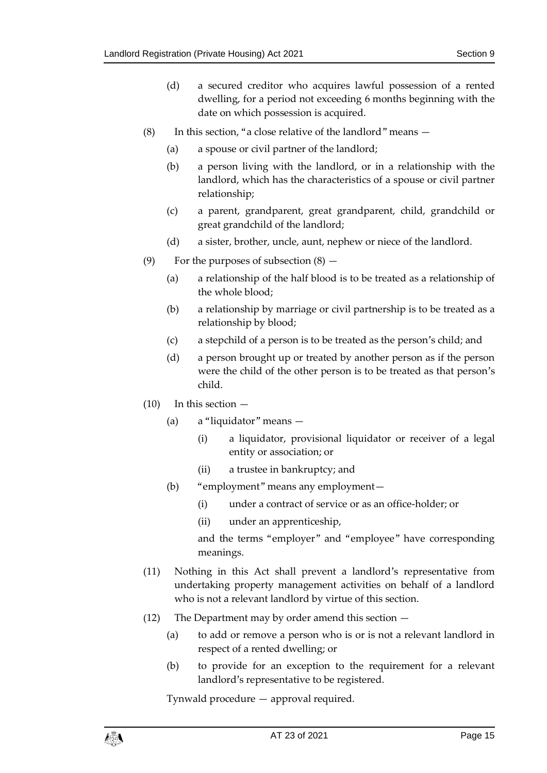- (d) a secured creditor who acquires lawful possession of a rented dwelling, for a period not exceeding 6 months beginning with the date on which possession is acquired.
- (8) In this section, "a close relative of the landlord" means  $-$ 
	- (a) a spouse or civil partner of the landlord;
	- (b) a person living with the landlord, or in a relationship with the landlord, which has the characteristics of a spouse or civil partner relationship;
	- (c) a parent, grandparent, great grandparent, child, grandchild or great grandchild of the landlord;
	- (d) a sister, brother, uncle, aunt, nephew or niece of the landlord.
- (9) For the purposes of subsection  $(8)$ 
	- (a) a relationship of the half blood is to be treated as a relationship of the whole blood;
	- (b) a relationship by marriage or civil partnership is to be treated as a relationship by blood;
	- (c) a stepchild of a person is to be treated as the person's child; and
	- (d) a person brought up or treated by another person as if the person were the child of the other person is to be treated as that person's child.
- (10) In this section
	- (a) a "liquidator" means
		- (i) a liquidator, provisional liquidator or receiver of a legal entity or association; or
		- (ii) a trustee in bankruptcy; and
	- (b) "employment" means any employment—
		- (i) under a contract of service or as an office-holder; or
		- (ii) under an apprenticeship,

and the terms "employer" and "employee" have corresponding meanings.

- (11) Nothing in this Act shall prevent a landlord's representative from undertaking property management activities on behalf of a landlord who is not a relevant landlord by virtue of this section.
- <span id="page-14-0"></span>(12) The Department may by order amend this section —
	- (a) to add or remove a person who is or is not a relevant landlord in respect of a rented dwelling; or
	- (b) to provide for an exception to the requirement for a relevant landlord's representative to be registered.

Tynwald procedure — approval required.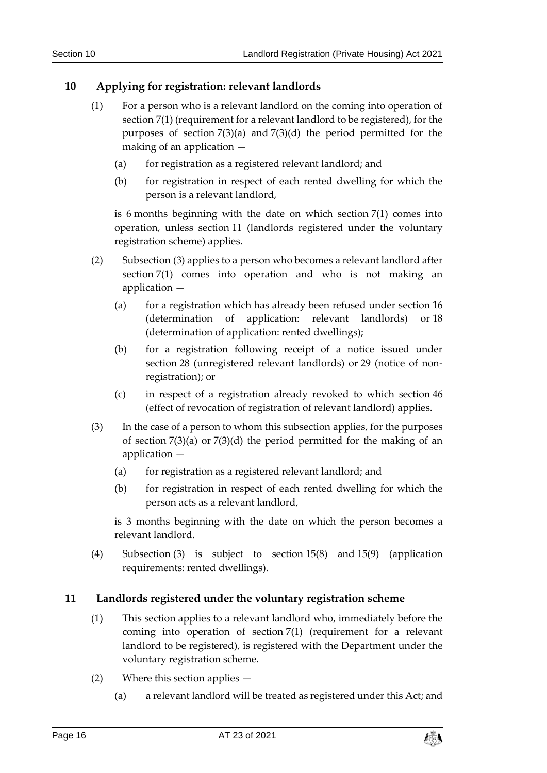#### <span id="page-15-2"></span><span id="page-15-0"></span>**10 Applying for registration: relevant landlords**

- (1) For a person who is a relevant landlord on the coming into operation of section [7\(1\)](#page-11-1) (requirement for a relevant landlord to be registered), for the purposes of section [7\(3\)\(](#page-11-2)a) and [7\(3\)\(](#page-11-2)d) the period permitted for the making of an application —
	- (a) for registration as a registered relevant landlord; and
	- (b) for registration in respect of each rented dwelling for which the person is a relevant landlord,

is 6 months beginning with the date on which section [7\(1\)](#page-11-1) comes into operation, unless section [11](#page-15-1) (landlords registered under the voluntary registration scheme) applies.

- (2) Subsection (3) applies to a person who becomes a relevant landlord after section [7\(1\)](#page-11-1) comes into operation and who is not making an application —
	- (a) for a registration which has already been refused under section [16](#page-20-0) (determination of application: relevant landlords) or [18](#page-23-0) (determination of application: rented dwellings);
	- (b) for a registration following receipt of a notice issued under section [28](#page-33-2) (unregistered relevant landlords) or [29](#page-33-3) (notice of nonregistration); or
	- (c) in respect of a registration already revoked to which section [46](#page-47-0) (effect of revocation of registration of relevant landlord) applies.
- <span id="page-15-3"></span>(3) In the case of a person to whom this subsection applies, for the purposes of section [7\(3\)\(](#page-11-2)a) or [7\(3\)\(](#page-11-2)d) the period permitted for the making of an application —
	- (a) for registration as a registered relevant landlord; and
	- (b) for registration in respect of each rented dwelling for which the person acts as a relevant landlord,

is 3 months beginning with the date on which the person becomes a relevant landlord.

(4) Subsection (3) is subject to section [15\(8\)](#page-19-1) and [15\(9\)](#page-20-1) (application requirements: rented dwellings).

#### <span id="page-15-1"></span>**11 Landlords registered under the voluntary registration scheme**

- (1) This section applies to a relevant landlord who, immediately before the coming into operation of section [7\(1\)](#page-11-1) (requirement for a relevant landlord to be registered), is registered with the Department under the voluntary registration scheme.
- (2) Where this section applies
	- (a) a relevant landlord will be treated as registered under this Act; and

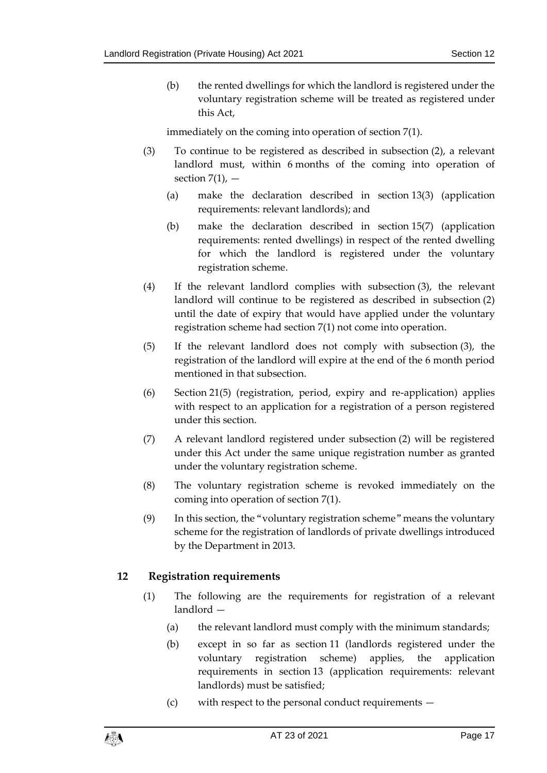(b) the rented dwellings for which the landlord is registered under the voluntary registration scheme will be treated as registered under this Act,

immediately on the coming into operation of section [7\(1\).](#page-11-1)

- (3) To continue to be registered as described in subsection (2), a relevant landlord must, within 6 months of the coming into operation of section  $7(1)$ ,  $-$ 
	- (a) make the declaration described in section [13\(3\)](#page-18-2) (application requirements: relevant landlords); and
	- (b) make the declaration described in section [15\(7\)](#page-19-2) (application requirements: rented dwellings) in respect of the rented dwelling for which the landlord is registered under the voluntary registration scheme.
- <span id="page-16-2"></span>(4) If the relevant landlord complies with subsection (3), the relevant landlord will continue to be registered as described in subsection (2) until the date of expiry that would have applied under the voluntary registration scheme had section [7\(1\)](#page-11-1) not come into operation.
- (5) If the relevant landlord does not comply with subsection (3), the registration of the landlord will expire at the end of the 6 month period mentioned in that subsection.
- (6) Section [21\(5\)](#page-27-1) (registration, period, expiry and re-application) applies with respect to an application for a registration of a person registered under this section.
- (7) A relevant landlord registered under subsection (2) will be registered under this Act under the same unique registration number as granted under the voluntary registration scheme.
- (8) The voluntary registration scheme is revoked immediately on the coming into operation of section [7\(1\).](#page-11-1)
- (9) In this section, the "voluntary registration scheme" means the voluntary scheme for the registration of landlords of private dwellings introduced by the Department in 2013.

#### <span id="page-16-1"></span><span id="page-16-0"></span>**12 Registration requirements**

- (1) The following are the requirements for registration of a relevant landlord —
	- (a) the relevant landlord must comply with the minimum standards;
	- (b) except in so far as section [11](#page-15-1) (landlords registered under the voluntary registration scheme) applies, the application requirements in section [13](#page-18-0) (application requirements: relevant landlords) must be satisfied;
	- (c) with respect to the personal conduct requirements —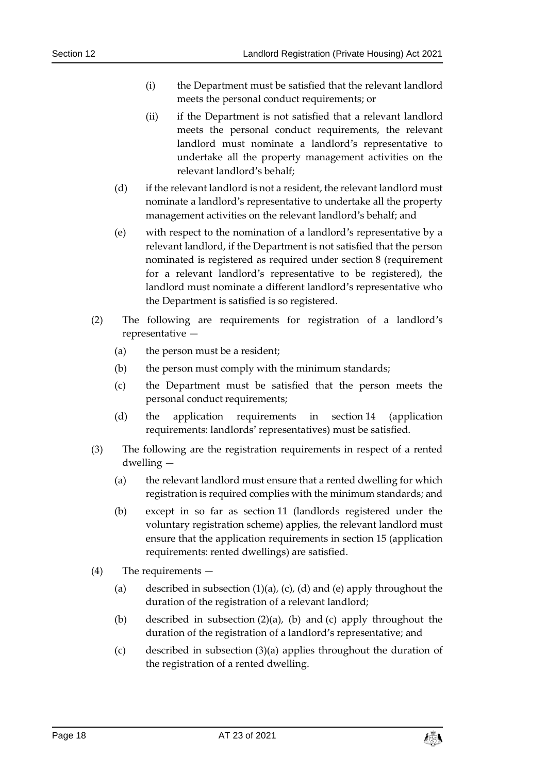- (i) the Department must be satisfied that the relevant landlord meets the personal conduct requirements; or
- (ii) if the Department is not satisfied that a relevant landlord meets the personal conduct requirements, the relevant landlord must nominate a landlord's representative to undertake all the property management activities on the relevant landlord's behalf;
- (d) if the relevant landlord is not a resident, the relevant landlord must nominate a landlord's representative to undertake all the property management activities on the relevant landlord's behalf; and
- (e) with respect to the nomination of a landlord's representative by a relevant landlord, if the Department is not satisfied that the person nominated is registered as required under section [8](#page-12-0) (requirement for a relevant landlord's representative to be registered), the landlord must nominate a different landlord's representative who the Department is satisfied is so registered.
- <span id="page-17-1"></span>(2) The following are requirements for registration of a landlord's representative —
	- (a) the person must be a resident;
	- (b) the person must comply with the minimum standards;
	- (c) the Department must be satisfied that the person meets the personal conduct requirements;
	- (d) the application requirements in section [14](#page-18-1) (application requirements: landlords' representatives) must be satisfied.
- <span id="page-17-0"></span>(3) The following are the registration requirements in respect of a rented dwelling —
	- (a) the relevant landlord must ensure that a rented dwelling for which registration is required complies with the minimum standards; and
	- (b) except in so far as section [11](#page-15-1) (landlords registered under the voluntary registration scheme) applies, the relevant landlord must ensure that the application requirements in section [15](#page-19-0) (application requirements: rented dwellings) are satisfied.
- (4) The requirements
	- (a) described in subsection  $(1)(a)$ ,  $(c)$ ,  $(d)$  and  $(e)$  apply throughout the duration of the registration of a relevant landlord;
	- (b) described in subsection (2)(a), (b) and (c) apply throughout the duration of the registration of a landlord's representative; and
	- (c) described in subsection (3)(a) applies throughout the duration of the registration of a rented dwelling.

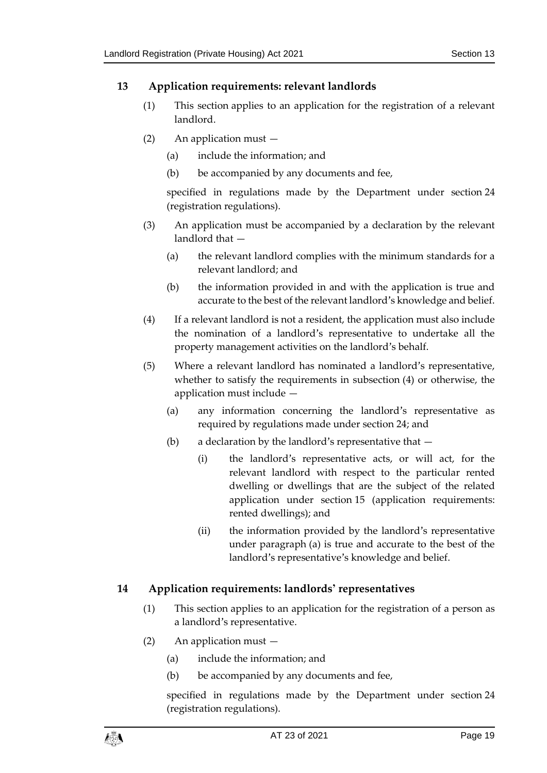#### <span id="page-18-0"></span>**13 Application requirements: relevant landlords**

- (1) This section applies to an application for the registration of a relevant landlord.
- (2) An application must
	- (a) include the information; and
	- (b) be accompanied by any documents and fee,

specified in regulations made by the Department under section [24](#page-29-1) (registration regulations).

- <span id="page-18-2"></span>(3) An application must be accompanied by a declaration by the relevant landlord that —
	- (a) the relevant landlord complies with the minimum standards for a relevant landlord; and
	- (b) the information provided in and with the application is true and accurate to the best of the relevant landlord's knowledge and belief.
- (4) If a relevant landlord is not a resident, the application must also include the nomination of a landlord's representative to undertake all the property management activities on the landlord's behalf.
- <span id="page-18-3"></span>(5) Where a relevant landlord has nominated a landlord's representative, whether to satisfy the requirements in subsection (4) or otherwise, the application must include —
	- (a) any information concerning the landlord's representative as required by regulations made under section [24;](#page-29-1) and
	- (b) a declaration by the landlord's representative that
		- (i) the landlord's representative acts, or will act, for the relevant landlord with respect to the particular rented dwelling or dwellings that are the subject of the related application under section [15](#page-19-0) (application requirements: rented dwellings); and
		- (ii) the information provided by the landlord's representative under paragraph (a) is true and accurate to the best of the landlord's representative's knowledge and belief.

#### <span id="page-18-1"></span>**14 Application requirements: landlords' representatives**

- (1) This section applies to an application for the registration of a person as a landlord's representative.
- (2) An application must
	- (a) include the information; and
	- (b) be accompanied by any documents and fee,

specified in regulations made by the Department under section [24](#page-29-1) (registration regulations).

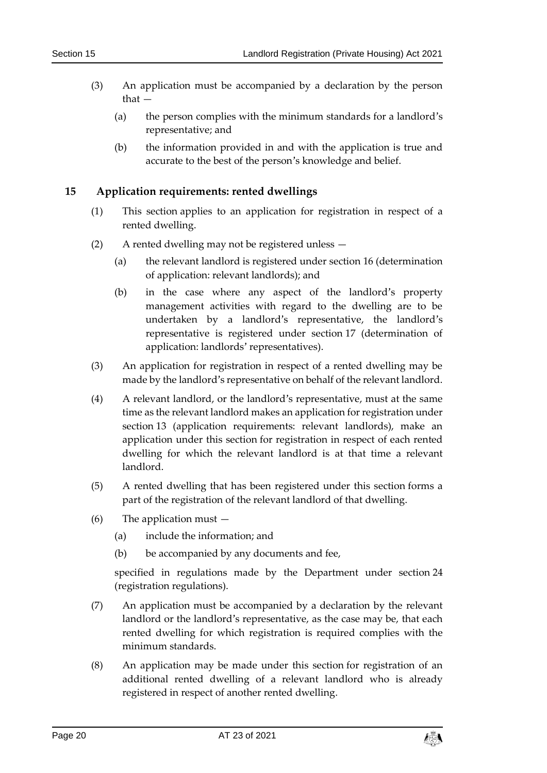- (3) An application must be accompanied by a declaration by the person that —
	- (a) the person complies with the minimum standards for a landlord's representative; and
	- (b) the information provided in and with the application is true and accurate to the best of the person's knowledge and belief.

#### <span id="page-19-0"></span>**15 Application requirements: rented dwellings**

- (1) This section applies to an application for registration in respect of a rented dwelling.
- (2) A rented dwelling may not be registered unless
	- (a) the relevant landlord is registered under section [16](#page-20-0) (determination of application: relevant landlords); and
	- (b) in the case where any aspect of the landlord's property management activities with regard to the dwelling are to be undertaken by a landlord's representative, the landlord's representative is registered under section [17](#page-22-0) (determination of application: landlords' representatives).
- (3) An application for registration in respect of a rented dwelling may be made by the landlord's representative on behalf of the relevant landlord.
- (4) A relevant landlord, or the landlord's representative, must at the same time as the relevant landlord makes an application for registration under section [13](#page-18-0) (application requirements: relevant landlords), make an application under this section for registration in respect of each rented dwelling for which the relevant landlord is at that time a relevant landlord.
- (5) A rented dwelling that has been registered under this section forms a part of the registration of the relevant landlord of that dwelling.
- (6) The application must
	- (a) include the information; and
	- (b) be accompanied by any documents and fee,

specified in regulations made by the Department under section [24](#page-29-1) (registration regulations).

- <span id="page-19-2"></span>(7) An application must be accompanied by a declaration by the relevant landlord or the landlord's representative, as the case may be, that each rented dwelling for which registration is required complies with the minimum standards.
- <span id="page-19-1"></span>(8) An application may be made under this section for registration of an additional rented dwelling of a relevant landlord who is already registered in respect of another rented dwelling.

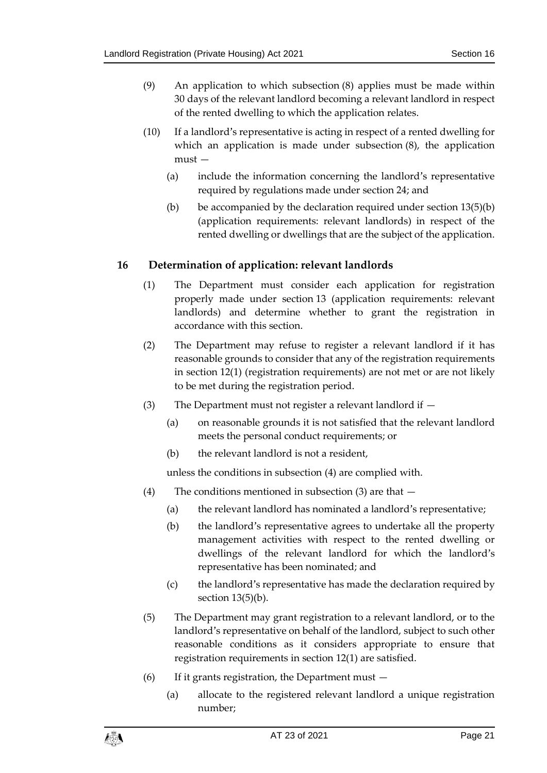- <span id="page-20-1"></span>(9) An application to which subsection (8) applies must be made within 30 days of the relevant landlord becoming a relevant landlord in respect of the rented dwelling to which the application relates.
- (10) If a landlord's representative is acting in respect of a rented dwelling for which an application is made under subsection (8), the application must —
	- (a) include the information concerning the landlord's representative required by regulations made under section [24;](#page-29-1) and
	- (b) be accompanied by the declaration required under section  $13(5)(b)$  $13(5)(b)$ (application requirements: relevant landlords) in respect of the rented dwelling or dwellings that are the subject of the application.

#### <span id="page-20-0"></span>**16 Determination of application: relevant landlords**

- (1) The Department must consider each application for registration properly made under section [13](#page-18-0) (application requirements: relevant landlords) and determine whether to grant the registration in accordance with this section.
- (2) The Department may refuse to register a relevant landlord if it has reasonable grounds to consider that any of the registration requirements in section [12\(1\)](#page-16-1) (registration requirements) are not met or are not likely to be met during the registration period.
- (3) The Department must not register a relevant landlord if
	- (a) on reasonable grounds it is not satisfied that the relevant landlord meets the personal conduct requirements; or
	- (b) the relevant landlord is not a resident,

unless the conditions in subsection (4) are complied with.

- <span id="page-20-2"></span>(4) The conditions mentioned in subsection (3) are that —
	- (a) the relevant landlord has nominated a landlord's representative;
	- (b) the landlord's representative agrees to undertake all the property management activities with respect to the rented dwelling or dwellings of the relevant landlord for which the landlord's representative has been nominated; and
	- (c) the landlord's representative has made the declaration required by section [13\(5\)\(](#page-18-3)b).
- (5) The Department may grant registration to a relevant landlord, or to the landlord's representative on behalf of the landlord, subject to such other reasonable conditions as it considers appropriate to ensure that registration requirements in section [12\(1\)](#page-16-1) are satisfied.
- (6) If it grants registration, the Department must
	- (a) allocate to the registered relevant landlord a unique registration number;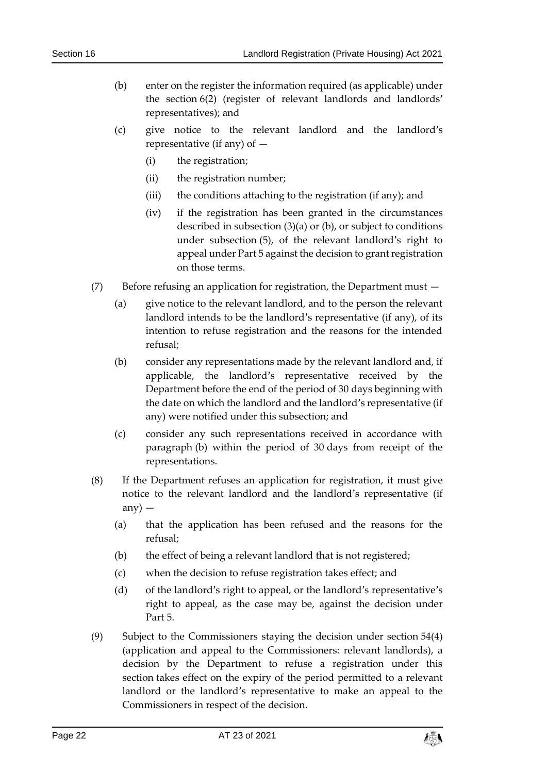- (b) enter on the register the information required (as applicable) under the section [6\(2\)](#page-11-3) (register of relevant landlords and landlords' representatives); and
- (c) give notice to the relevant landlord and the landlord's representative (if any) of  $-$ 
	- (i) the registration;
	- (ii) the registration number;
	- (iii) the conditions attaching to the registration (if any); and
	- (iv) if the registration has been granted in the circumstances described in subsection (3)(a) or (b), or subject to conditions under subsection (5), of the relevant landlord's right to appeal under Part 5 against the decision to grant registration on those terms.
- (7) Before refusing an application for registration, the Department must
	- (a) give notice to the relevant landlord, and to the person the relevant landlord intends to be the landlord's representative (if any), of its intention to refuse registration and the reasons for the intended refusal;
	- (b) consider any representations made by the relevant landlord and, if applicable, the landlord's representative received by the Department before the end of the period of 30 days beginning with the date on which the landlord and the landlord's representative (if any) were notified under this subsection; and
	- (c) consider any such representations received in accordance with paragraph (b) within the period of 30 days from receipt of the representations.
- (8) If the Department refuses an application for registration, it must give notice to the relevant landlord and the landlord's representative (if any $)$  —
	- (a) that the application has been refused and the reasons for the refusal;
	- (b) the effect of being a relevant landlord that is not registered;
	- (c) when the decision to refuse registration takes effect; and
	- (d) of the landlord's right to appeal, or the landlord's representative's right to appeal, as the case may be, against the decision under Part 5.
- <span id="page-21-0"></span>(9) Subject to the Commissioners staying the decision under section [54\(4\)](#page-53-1) (application and appeal to the Commissioners: relevant landlords), a decision by the Department to refuse a registration under this section takes effect on the expiry of the period permitted to a relevant landlord or the landlord's representative to make an appeal to the Commissioners in respect of the decision.

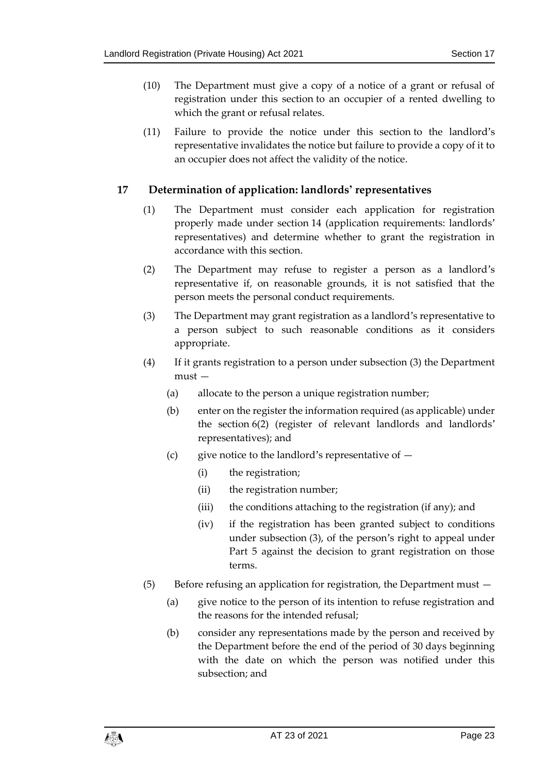- (10) The Department must give a copy of a notice of a grant or refusal of registration under this section to an occupier of a rented dwelling to which the grant or refusal relates.
- (11) Failure to provide the notice under this section to the landlord's representative invalidates the notice but failure to provide a copy of it to an occupier does not affect the validity of the notice.

#### <span id="page-22-0"></span>**17 Determination of application: landlords' representatives**

- (1) The Department must consider each application for registration properly made under section [14](#page-18-1) (application requirements: landlords' representatives) and determine whether to grant the registration in accordance with this section.
- <span id="page-22-1"></span>(2) The Department may refuse to register a person as a landlord's representative if, on reasonable grounds, it is not satisfied that the person meets the personal conduct requirements.
- <span id="page-22-2"></span>(3) The Department may grant registration as a landlord's representative to a person subject to such reasonable conditions as it considers appropriate.
- (4) If it grants registration to a person under subsection (3) the Department must —
	- (a) allocate to the person a unique registration number;
	- (b) enter on the register the information required (as applicable) under the section [6\(2\)](#page-11-3) (register of relevant landlords and landlords' representatives); and
	- (c) give notice to the landlord's representative of  $-$ 
		- (i) the registration;
		- (ii) the registration number;
		- (iii) the conditions attaching to the registration (if any); and
		- (iv) if the registration has been granted subject to conditions under subsection (3), of the person's right to appeal under Part 5 against the decision to grant registration on those terms.
- (5) Before refusing an application for registration, the Department must
	- (a) give notice to the person of its intention to refuse registration and the reasons for the intended refusal;
	- (b) consider any representations made by the person and received by the Department before the end of the period of 30 days beginning with the date on which the person was notified under this subsection; and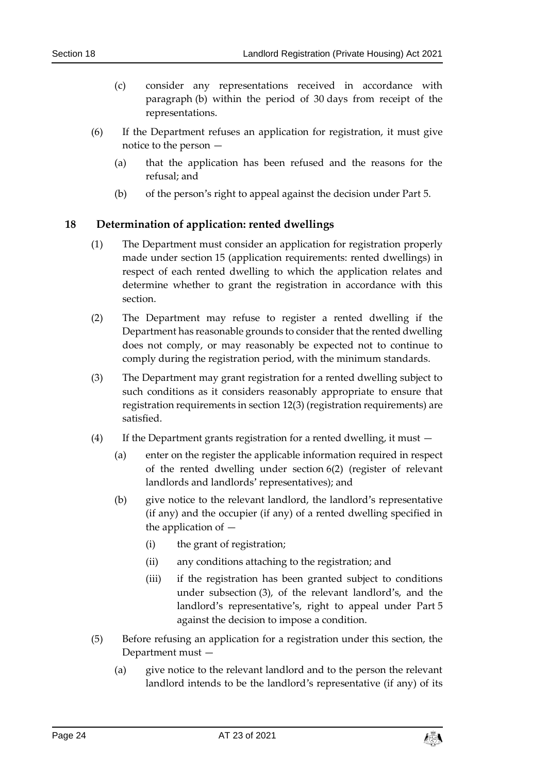- (c) consider any representations received in accordance with paragraph (b) within the period of 30 days from receipt of the representations.
- (6) If the Department refuses an application for registration, it must give notice to the person —
	- (a) that the application has been refused and the reasons for the refusal; and
	- (b) of the person's right to appeal against the decision under Part 5.

#### <span id="page-23-0"></span>**18 Determination of application: rented dwellings**

- (1) The Department must consider an application for registration properly made under section [15](#page-19-0) (application requirements: rented dwellings) in respect of each rented dwelling to which the application relates and determine whether to grant the registration in accordance with this section.
- (2) The Department may refuse to register a rented dwelling if the Department has reasonable grounds to consider that the rented dwelling does not comply, or may reasonably be expected not to continue to comply during the registration period, with the minimum standards.
- (3) The Department may grant registration for a rented dwelling subject to such conditions as it considers reasonably appropriate to ensure that registration requirements in section [12\(3\)](#page-17-0) (registration requirements) are satisfied.
- (4) If the Department grants registration for a rented dwelling, it must
	- (a) enter on the register the applicable information required in respect of the rented dwelling under section [6\(2\)](#page-11-3) (register of relevant landlords and landlords' representatives); and
	- (b) give notice to the relevant landlord, the landlord's representative (if any) and the occupier (if any) of a rented dwelling specified in the application of —
		- (i) the grant of registration;
		- (ii) any conditions attaching to the registration; and
		- (iii) if the registration has been granted subject to conditions under subsection (3), of the relevant landlord's, and the landlord's representative's, right to appeal under Part 5 against the decision to impose a condition.
- (5) Before refusing an application for a registration under this section, the Department must —
	- (a) give notice to the relevant landlord and to the person the relevant landlord intends to be the landlord's representative (if any) of its

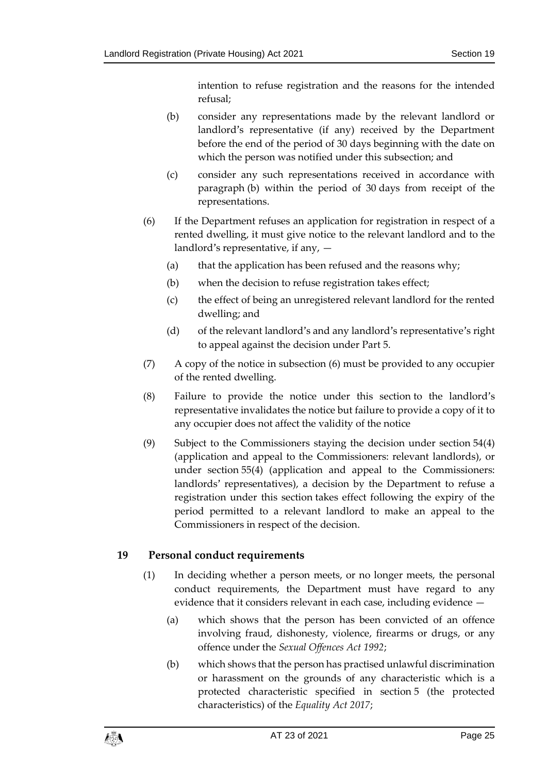intention to refuse registration and the reasons for the intended refusal;

- (b) consider any representations made by the relevant landlord or landlord's representative (if any) received by the Department before the end of the period of 30 days beginning with the date on which the person was notified under this subsection; and
- (c) consider any such representations received in accordance with paragraph (b) within the period of 30 days from receipt of the representations.
- <span id="page-24-2"></span>(6) If the Department refuses an application for registration in respect of a rented dwelling, it must give notice to the relevant landlord and to the landlord's representative, if any, —
	- (a) that the application has been refused and the reasons why;
	- (b) when the decision to refuse registration takes effect;
	- (c) the effect of being an unregistered relevant landlord for the rented dwelling; and
	- (d) of the relevant landlord's and any landlord's representative's right to appeal against the decision under Part 5.
- (7) A copy of the notice in subsection (6) must be provided to any occupier of the rented dwelling.
- (8) Failure to provide the notice under this section to the landlord's representative invalidates the notice but failure to provide a copy of it to any occupier does not affect the validity of the notice
- <span id="page-24-1"></span>(9) Subject to the Commissioners staying the decision under section [54\(4\)](#page-53-1) (application and appeal to the Commissioners: relevant landlords), or under section 55(4) (application and appeal to the Commissioners: landlords' representatives), a decision by the Department to refuse a registration under this section takes effect following the expiry of the period permitted to a relevant landlord to make an appeal to the Commissioners in respect of the decision.

#### <span id="page-24-0"></span>**19 Personal conduct requirements**

- (1) In deciding whether a person meets, or no longer meets, the personal conduct requirements, the Department must have regard to any evidence that it considers relevant in each case, including evidence —
	- (a) which shows that the person has been convicted of an offence involving fraud, dishonesty, violence, firearms or drugs, or any offence under the *Sexual Offences Act 1992*;
	- (b) which shows that the person has practised unlawful discrimination or harassment on the grounds of any characteristic which is a protected characteristic specified in section 5 (the protected characteristics) of the *Equality Act 2017*;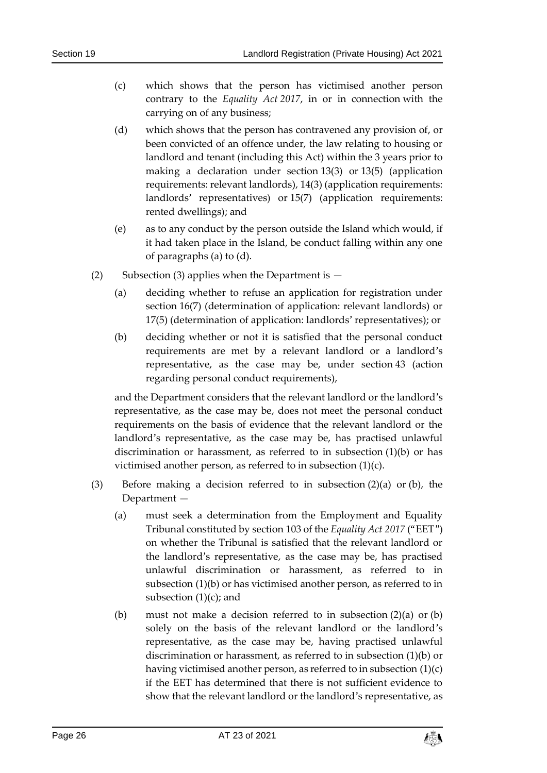- (c) which shows that the person has victimised another person contrary to the *Equality Act 2017*, in or in connection with the carrying on of any business;
- (d) which shows that the person has contravened any provision of, or been convicted of an offence under, the law relating to housing or landlord and tenant (including this Act) within the 3 years prior to making a declaration under section [13\(3\)](#page-18-2) or [13\(5\)](#page-18-3) (application requirements: relevant landlords), 14(3) (application requirements: landlords' representatives) or [15\(7\)](#page-19-2) (application requirements: rented dwellings); and
- (e) as to any conduct by the person outside the Island which would, if it had taken place in the Island, be conduct falling within any one of paragraphs (a) to (d).
- (2) Subsection (3) applies when the Department is  $-$ 
	- (a) deciding whether to refuse an application for registration under section 16(7) (determination of application: relevant landlords) or 17(5) (determination of application: landlords' representatives); or
	- (b) deciding whether or not it is satisfied that the personal conduct requirements are met by a relevant landlord or a landlord's representative, as the case may be, under section 43 (action regarding personal conduct requirements),

and the Department considers that the relevant landlord or the landlord's representative, as the case may be, does not meet the personal conduct requirements on the basis of evidence that the relevant landlord or the landlord's representative, as the case may be, has practised unlawful discrimination or harassment, as referred to in subsection (1)(b) or has victimised another person, as referred to in subsection (1)(c).

- (3) Before making a decision referred to in subsection (2)(a) or (b), the Department —
	- (a) must seek a determination from the Employment and Equality Tribunal constituted by section 103 of the *Equality Act 2017* ("EET") on whether the Tribunal is satisfied that the relevant landlord or the landlord's representative, as the case may be, has practised unlawful discrimination or harassment, as referred to in subsection (1)(b) or has victimised another person, as referred to in subsection  $(1)(c)$ ; and
	- (b) must not make a decision referred to in subsection (2)(a) or (b) solely on the basis of the relevant landlord or the landlord's representative, as the case may be, having practised unlawful discrimination or harassment, as referred to in subsection (1)(b) or having victimised another person, as referred to in subsection (1)(c) if the EET has determined that there is not sufficient evidence to show that the relevant landlord or the landlord's representative, as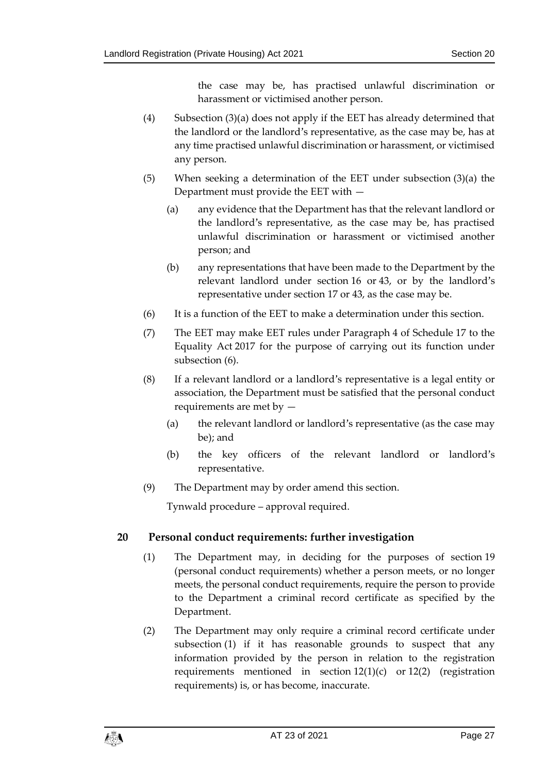the case may be, has practised unlawful discrimination or harassment or victimised another person.

- (4) Subsection (3)(a) does not apply if the EET has already determined that the landlord or the landlord's representative, as the case may be, has at any time practised unlawful discrimination or harassment, or victimised any person.
- (5) When seeking a determination of the EET under subsection (3)(a) the Department must provide the EET with —
	- (a) any evidence that the Department has that the relevant landlord or the landlord's representative, as the case may be, has practised unlawful discrimination or harassment or victimised another person; and
	- (b) any representations that have been made to the Department by the relevant landlord under section 16 or 43, or by the landlord's representative under section 17 or 43, as the case may be.
- (6) It is a function of the EET to make a determination under this section.
- (7) The EET may make EET rules under Paragraph 4 of Schedule 17 to the Equality Act 2017 for the purpose of carrying out its function under subsection (6).
- (8) If a relevant landlord or a landlord's representative is a legal entity or association, the Department must be satisfied that the personal conduct requirements are met by —
	- (a) the relevant landlord or landlord's representative (as the case may be); and
	- (b) the key officers of the relevant landlord or landlord's representative.
- (9) The Department may by order amend this section.

Tynwald procedure – approval required.

#### <span id="page-26-0"></span>**20 Personal conduct requirements: further investigation**

- (1) The Department may, in deciding for the purposes of section [19](#page-24-0) (personal conduct requirements) whether a person meets, or no longer meets, the personal conduct requirements, require the person to provide to the Department a criminal record certificate as specified by the Department.
- (2) The Department may only require a criminal record certificate under subsection (1) if it has reasonable grounds to suspect that any information provided by the person in relation to the registration requirements mentioned in section [12\(1\)\(](#page-16-1)c) or [12\(2\)](#page-17-1) (registration requirements) is, or has become, inaccurate.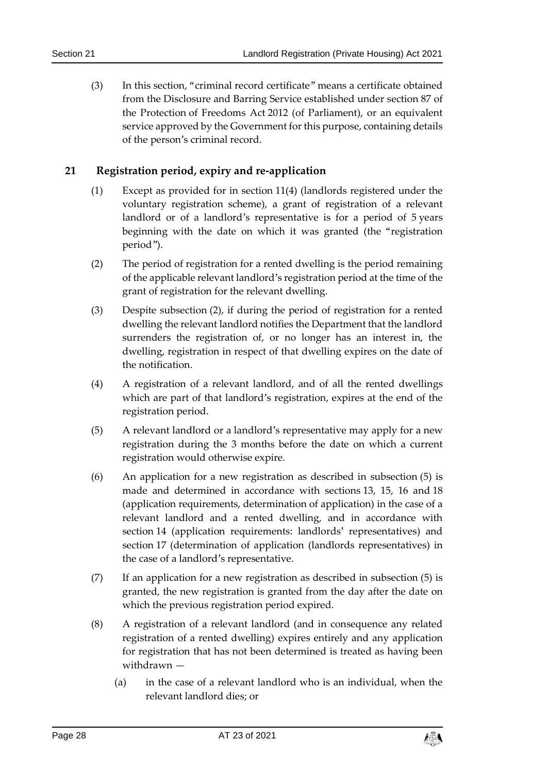(3) In this section, "criminal record certificate" means a certificate obtained from the Disclosure and Barring Service established under section 87 of the Protection of Freedoms Act 2012 (of Parliament), or an equivalent service approved by the Government for this purpose, containing details of the person's criminal record.

#### <span id="page-27-0"></span>**21 Registration period, expiry and re-application**

- (1) Except as provided for in section [11\(4\)](#page-16-2) (landlords registered under the voluntary registration scheme), a grant of registration of a relevant landlord or of a landlord's representative is for a period of 5 years beginning with the date on which it was granted (the "registration period").
- (2) The period of registration for a rented dwelling is the period remaining of the applicable relevant landlord's registration period at the time of the grant of registration for the relevant dwelling.
- (3) Despite subsection (2), if during the period of registration for a rented dwelling the relevant landlord notifies the Department that the landlord surrenders the registration of, or no longer has an interest in, the dwelling, registration in respect of that dwelling expires on the date of the notification.
- (4) A registration of a relevant landlord, and of all the rented dwellings which are part of that landlord's registration, expires at the end of the registration period.
- <span id="page-27-1"></span>(5) A relevant landlord or a landlord's representative may apply for a new registration during the 3 months before the date on which a current registration would otherwise expire.
- <span id="page-27-2"></span>(6) An application for a new registration as described in subsection (5) is made and determined in accordance with sections [13,](#page-18-0) [15,](#page-19-0) [16](#page-20-0) and [18](#page-23-0) (application requirements, determination of application) in the case of a relevant landlord and a rented dwelling, and in accordance with section [14](#page-18-1) (application requirements: landlords' representatives) and section 17 (determination of application (landlords representatives) in the case of a landlord's representative.
- (7) If an application for a new registration as described in subsection (5) is granted, the new registration is granted from the day after the date on which the previous registration period expired.
- (8) A registration of a relevant landlord (and in consequence any related registration of a rented dwelling) expires entirely and any application for registration that has not been determined is treated as having been withdrawn —
	- (a) in the case of a relevant landlord who is an individual, when the relevant landlord dies; or

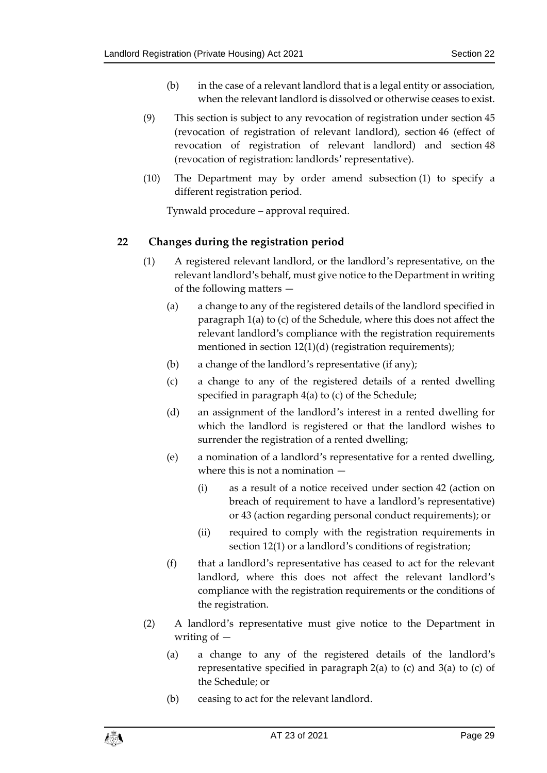- (b) in the case of a relevant landlord that is a legal entity or association, when the relevant landlord is dissolved or otherwise ceases to exist.
- (9) This section is subject to any revocation of registration under section [45](#page-46-0) (revocation of registration of relevant landlord), section [46](#page-47-0) (effect of revocation of registration of relevant landlord) and section 48 (revocation of registration: landlords' representative).
- (10) The Department may by order amend subsection (1) to specify a different registration period.

Tynwald procedure – approval required.

#### <span id="page-28-0"></span>**22 Changes during the registration period**

- (1) A registered relevant landlord, or the landlord's representative, on the relevant landlord's behalf, must give notice to the Department in writing of the following matters —
	- (a) a change to any of the registered details of the landlord specified in paragraph 1(a) to (c) of the Schedule, where this does not affect the relevant landlord's compliance with the registration requirements mentioned in section [12\(1\)\(](#page-16-1)d) (registration requirements);
	- (b) a change of the landlord's representative (if any);
	- (c) a change to any of the registered details of a rented dwelling specified in paragraph 4(a) to (c) of the Schedule;
	- (d) an assignment of the landlord's interest in a rented dwelling for which the landlord is registered or that the landlord wishes to surrender the registration of a rented dwelling;
	- (e) a nomination of a landlord's representative for a rented dwelling, where this is not a nomination —
		- (i) as a result of a notice received under section [42](#page-43-0) (action on breach of requirement to have a landlord's representative) or [43](#page-43-1) (action regarding personal conduct requirements); or
		- (ii) required to comply with the registration requirements in section [12\(1\)](#page-16-1) or a landlord's conditions of registration;
	- (f) that a landlord's representative has ceased to act for the relevant landlord, where this does not affect the relevant landlord's compliance with the registration requirements or the conditions of the registration.
- (2) A landlord's representative must give notice to the Department in writing of —
	- (a) a change to any of the registered details of the landlord's representative specified in paragraph 2(a) to (c) and 3(a) to (c) of the Schedule; or
	- (b) ceasing to act for the relevant landlord.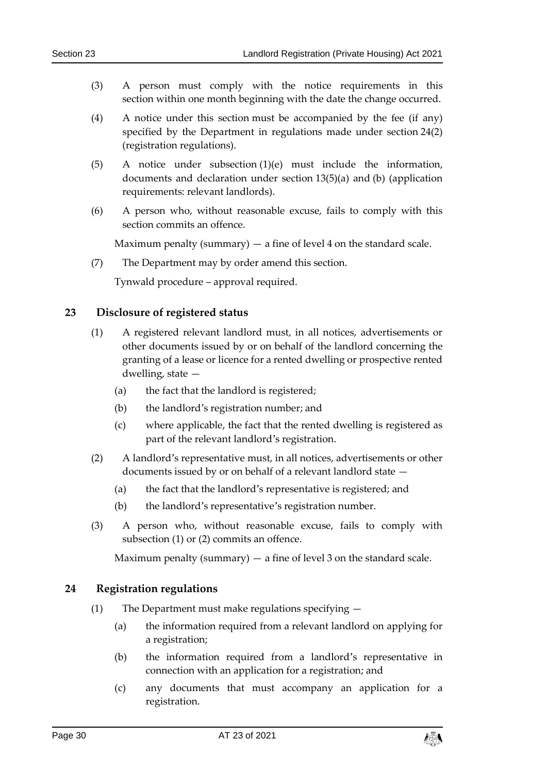- (3) A person must comply with the notice requirements in this section within one month beginning with the date the change occurred.
- (4) A notice under this section must be accompanied by the fee (if any) specified by the Department in regulations made under section [24\(2\)](#page-30-1) (registration regulations).
- (5) A notice under subsection (1)(e) must include the information, documents and declaration under section [13\(5\)\(](#page-18-3)a) and (b) (application requirements: relevant landlords).
- (6) A person who, without reasonable excuse, fails to comply with this section commits an offence.

Maximum penalty (summary)  $-$  a fine of level 4 on the standard scale.

(7) The Department may by order amend this section.

Tynwald procedure – approval required.

#### <span id="page-29-0"></span>**23 Disclosure of registered status**

- (1) A registered relevant landlord must, in all notices, advertisements or other documents issued by or on behalf of the landlord concerning the granting of a lease or licence for a rented dwelling or prospective rented dwelling, state —
	- (a) the fact that the landlord is registered;
	- (b) the landlord's registration number; and
	- (c) where applicable, the fact that the rented dwelling is registered as part of the relevant landlord's registration.
- (2) A landlord's representative must, in all notices, advertisements or other documents issued by or on behalf of a relevant landlord state —
	- (a) the fact that the landlord's representative is registered; and
	- (b) the landlord's representative's registration number.
- (3) A person who, without reasonable excuse, fails to comply with subsection (1) or (2) commits an offence.

Maximum penalty (summary)  $-$  a fine of level 3 on the standard scale.

#### <span id="page-29-1"></span>**24 Registration regulations**

- (1) The Department must make regulations specifying
	- (a) the information required from a relevant landlord on applying for a registration;
	- (b) the information required from a landlord's representative in connection with an application for a registration; and
	- (c) any documents that must accompany an application for a registration.

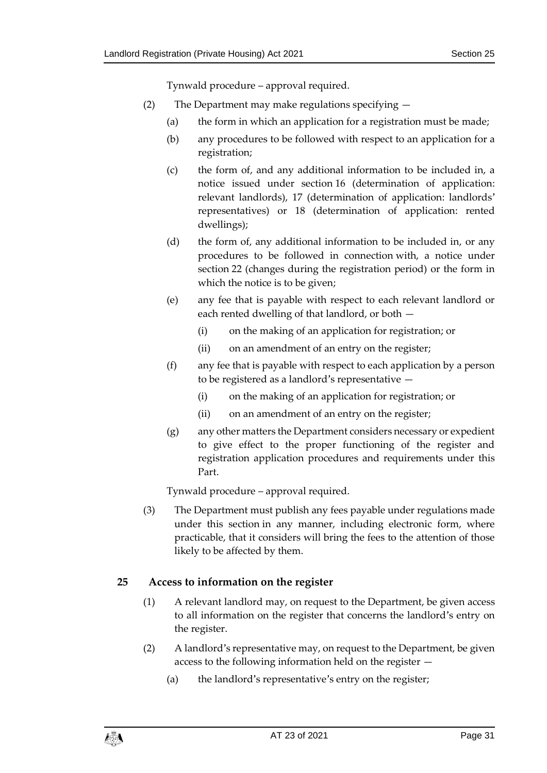Tynwald procedure – approval required.

- <span id="page-30-1"></span>(2) The Department may make regulations specifying —
	- (a) the form in which an application for a registration must be made;
	- (b) any procedures to be followed with respect to an application for a registration;
	- (c) the form of, and any additional information to be included in, a notice issued under section [16](#page-20-0) (determination of application: relevant landlords), [17](#page-22-0) (determination of application: landlords' representatives) or [18](#page-23-0) (determination of application: rented dwellings);
	- (d) the form of, any additional information to be included in, or any procedures to be followed in connection with, a notice under section [22](#page-28-0) (changes during the registration period) or the form in which the notice is to be given;
	- (e) any fee that is payable with respect to each relevant landlord or each rented dwelling of that landlord, or both —
		- (i) on the making of an application for registration; or
		- (ii) on an amendment of an entry on the register;
	- (f) any fee that is payable with respect to each application by a person to be registered as a landlord's representative —
		- (i) on the making of an application for registration; or
		- (ii) on an amendment of an entry on the register;
	- (g) any other matters the Department considers necessary or expedient to give effect to the proper functioning of the register and registration application procedures and requirements under this Part.

Tynwald procedure – approval required.

(3) The Department must publish any fees payable under regulations made under this section in any manner, including electronic form, where practicable, that it considers will bring the fees to the attention of those likely to be affected by them.

#### <span id="page-30-0"></span>**25 Access to information on the register**

- (1) A relevant landlord may, on request to the Department, be given access to all information on the register that concerns the landlord's entry on the register.
- (2) A landlord's representative may, on request to the Department, be given access to the following information held on the register —
	- (a) the landlord's representative's entry on the register;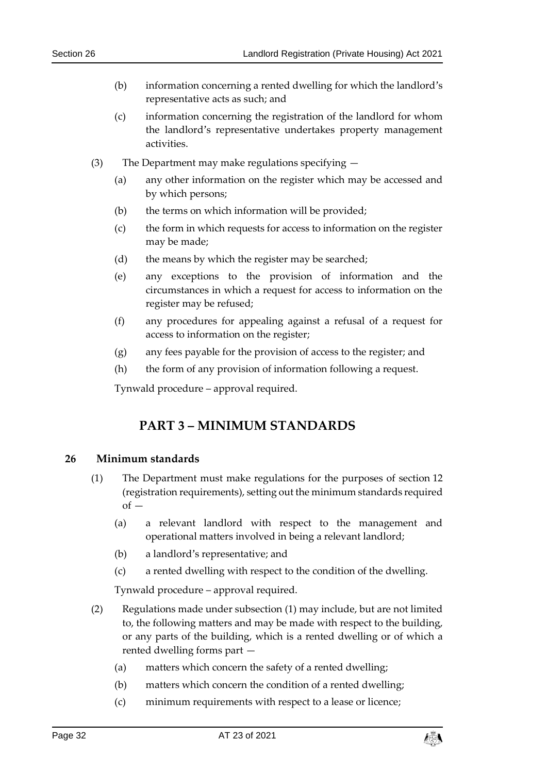- (b) information concerning a rented dwelling for which the landlord's representative acts as such; and
- (c) information concerning the registration of the landlord for whom the landlord's representative undertakes property management activities.
- (3) The Department may make regulations specifying
	- (a) any other information on the register which may be accessed and by which persons;
	- (b) the terms on which information will be provided;
	- (c) the form in which requests for access to information on the register may be made;
	- (d) the means by which the register may be searched;
	- (e) any exceptions to the provision of information and the circumstances in which a request for access to information on the register may be refused;
	- (f) any procedures for appealing against a refusal of a request for access to information on the register;
	- (g) any fees payable for the provision of access to the register; and
	- (h) the form of any provision of information following a request.

Tynwald procedure – approval required.

### **PART 3 – MINIMUM STANDARDS**

#### <span id="page-31-2"></span><span id="page-31-1"></span><span id="page-31-0"></span>**26 Minimum standards**

- (1) The Department must make regulations for the purposes of section [12](#page-16-0) (registration requirements), setting out the minimum standards required  $of -$ 
	- (a) a relevant landlord with respect to the management and operational matters involved in being a relevant landlord;
	- (b) a landlord's representative; and
	- (c) a rented dwelling with respect to the condition of the dwelling.

Tynwald procedure – approval required.

- (2) Regulations made under subsection (1) may include, but are not limited to, the following matters and may be made with respect to the building, or any parts of the building, which is a rented dwelling or of which a rented dwelling forms part —
	- (a) matters which concern the safety of a rented dwelling;
	- (b) matters which concern the condition of a rented dwelling;
	- (c) minimum requirements with respect to a lease or licence;

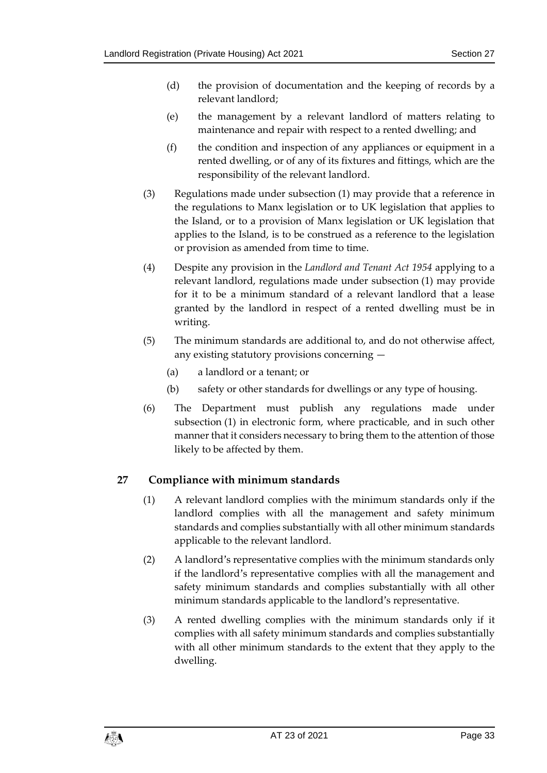- (d) the provision of documentation and the keeping of records by a relevant landlord;
- (e) the management by a relevant landlord of matters relating to maintenance and repair with respect to a rented dwelling; and
- (f) the condition and inspection of any appliances or equipment in a rented dwelling, or of any of its fixtures and fittings, which are the responsibility of the relevant landlord.
- (3) Regulations made under subsection (1) may provide that a reference in the regulations to Manx legislation or to UK legislation that applies to the Island, or to a provision of Manx legislation or UK legislation that applies to the Island, is to be construed as a reference to the legislation or provision as amended from time to time.
- (4) Despite any provision in the *Landlord and Tenant Act 1954* applying to a relevant landlord, regulations made under subsection (1) may provide for it to be a minimum standard of a relevant landlord that a lease granted by the landlord in respect of a rented dwelling must be in writing.
- (5) The minimum standards are additional to, and do not otherwise affect, any existing statutory provisions concerning —
	- (a) a landlord or a tenant; or
	- (b) safety or other standards for dwellings or any type of housing.
- (6) The Department must publish any regulations made under subsection (1) in electronic form, where practicable, and in such other manner that it considers necessary to bring them to the attention of those likely to be affected by them.

#### <span id="page-32-0"></span>**27 Compliance with minimum standards**

- (1) A relevant landlord complies with the minimum standards only if the landlord complies with all the management and safety minimum standards and complies substantially with all other minimum standards applicable to the relevant landlord.
- (2) A landlord's representative complies with the minimum standards only if the landlord's representative complies with all the management and safety minimum standards and complies substantially with all other minimum standards applicable to the landlord's representative.
- (3) A rented dwelling complies with the minimum standards only if it complies with all safety minimum standards and complies substantially with all other minimum standards to the extent that they apply to the dwelling.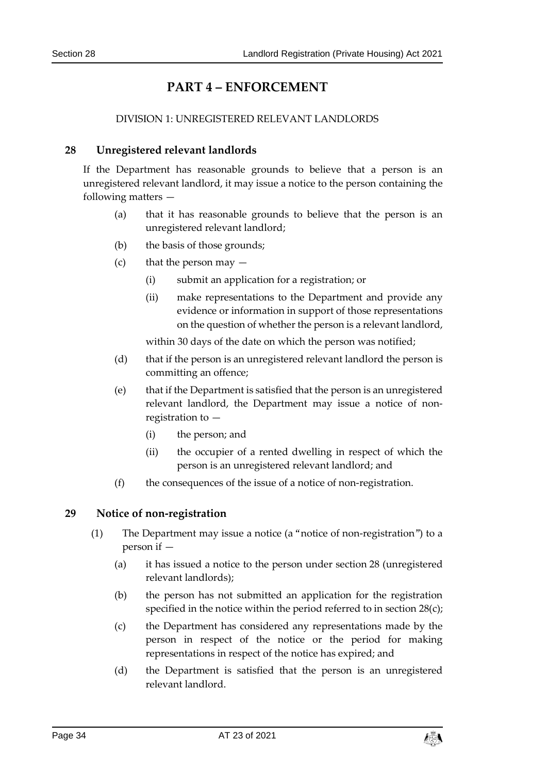## **PART 4 – ENFORCEMENT**

#### DIVISION 1: UNREGISTERED RELEVANT LANDLORDS

#### <span id="page-33-2"></span><span id="page-33-1"></span><span id="page-33-0"></span>**28 Unregistered relevant landlords**

If the Department has reasonable grounds to believe that a person is an unregistered relevant landlord, it may issue a notice to the person containing the following matters —

- (a) that it has reasonable grounds to believe that the person is an unregistered relevant landlord;
- (b) the basis of those grounds;
- (c) that the person may  $-$ 
	- (i) submit an application for a registration; or
	- (ii) make representations to the Department and provide any evidence or information in support of those representations on the question of whether the person is a relevant landlord,

within 30 days of the date on which the person was notified;

- (d) that if the person is an unregistered relevant landlord the person is committing an offence;
- (e) that if the Department is satisfied that the person is an unregistered relevant landlord, the Department may issue a notice of nonregistration to —
	- (i) the person; and
	- (ii) the occupier of a rented dwelling in respect of which the person is an unregistered relevant landlord; and
- (f) the consequences of the issue of a notice of non-registration.

#### <span id="page-33-4"></span><span id="page-33-3"></span>**29 Notice of non-registration**

- (1) The Department may issue a notice (a "notice of non-registration") to a person if —
	- (a) it has issued a notice to the person under section [28](#page-33-2) (unregistered relevant landlords);
	- (b) the person has not submitted an application for the registration specified in the notice within the period referred to in section [28\(](#page-33-2)c);
	- (c) the Department has considered any representations made by the person in respect of the notice or the period for making representations in respect of the notice has expired; and
	- (d) the Department is satisfied that the person is an unregistered relevant landlord.

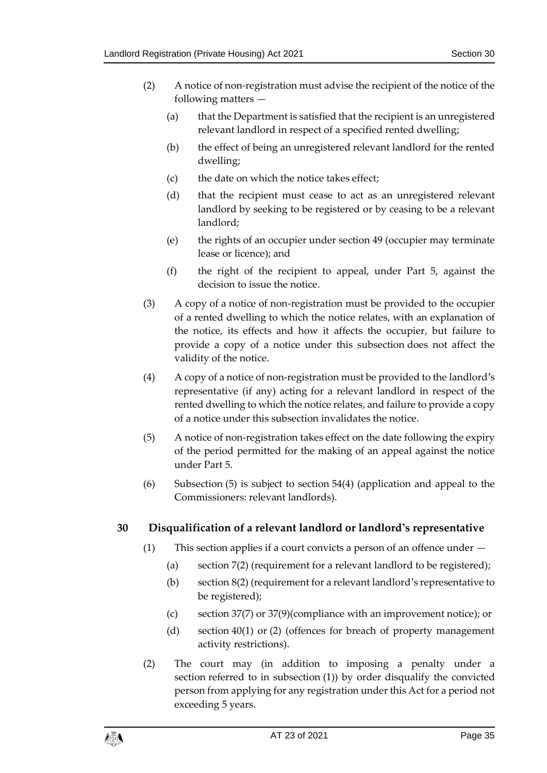- (2) A notice of non-registration must advise the recipient of the notice of the following matters —
	- (a) that the Department is satisfied that the recipient is an unregistered relevant landlord in respect of a specified rented dwelling;
	- (b) the effect of being an unregistered relevant landlord for the rented dwelling;
	- (c) the date on which the notice takes effect;
	- (d) that the recipient must cease to act as an unregistered relevant landlord by seeking to be registered or by ceasing to be a relevant landlord;
	- (e) the rights of an occupier under section [49](#page-50-1) (occupier may terminate lease or licence); and
	- (f) the right of the recipient to appeal, under Part 5, against the decision to issue the notice.
- (3) A copy of a notice of non-registration must be provided to the occupier of a rented dwelling to which the notice relates, with an explanation of the notice, its effects and how it affects the occupier, but failure to provide a copy of a notice under this subsection does not affect the validity of the notice.
- (4) A copy of a notice of non-registration must be provided to the landlord's representative (if any) acting for a relevant landlord in respect of the rented dwelling to which the notice relates, and failure to provide a copy of a notice under this subsection invalidates the notice.
- (5) A notice of non-registration takes effect on the date following the expiry of the period permitted for the making of an appeal against the notice under Part 5.
- (6) Subsection (5) is subject to section [54\(4\)](#page-53-1) (application and appeal to the Commissioners: relevant landlords).

#### <span id="page-34-0"></span>**30 Disqualification of a relevant landlord or landlord's representative**

- (1) This section applies if a court convicts a person of an offence under
	- (a) section [7\(2\)](#page-11-4) (requirement for a relevant landlord to be registered);
	- (b) section [8\(2\)](#page-12-2) (requirement for a relevant landlord's representative to be registered);
	- (c) section [37\(7\)](#page-40-0) or [37\(9\)\(](#page-40-1)compliance with an improvement notice); or
	- (d) section [40\(1\)](#page-41-4) or (2) (offences for breach of property management activity restrictions).
- <span id="page-34-1"></span>(2) The court may (in addition to imposing a penalty under a section referred to in subsection (1)) by order disqualify the convicted person from applying for any registration under this Act for a period not exceeding 5 years.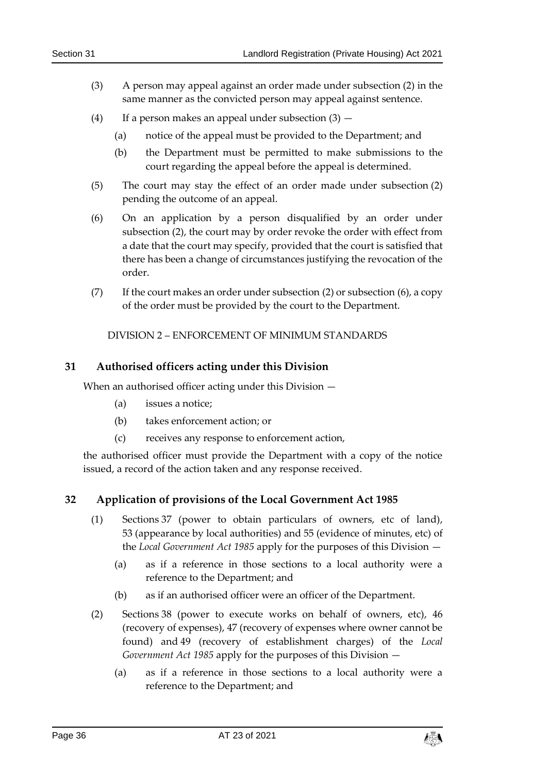- (3) A person may appeal against an order made under subsection (2) in the same manner as the convicted person may appeal against sentence.
- (4) If a person makes an appeal under subsection  $(3)$  -
	- (a) notice of the appeal must be provided to the Department; and
	- (b) the Department must be permitted to make submissions to the court regarding the appeal before the appeal is determined.
- (5) The court may stay the effect of an order made under subsection (2) pending the outcome of an appeal.
- (6) On an application by a person disqualified by an order under subsection (2), the court may by order revoke the order with effect from a date that the court may specify, provided that the court is satisfied that there has been a change of circumstances justifying the revocation of the order.
- <span id="page-35-0"></span>(7) If the court makes an order under subsection (2) or subsection (6), a copy of the order must be provided by the court to the Department.

DIVISION 2 – ENFORCEMENT OF MINIMUM STANDARDS

#### <span id="page-35-1"></span>**31 Authorised officers acting under this Division**

When an authorised officer acting under this Division -

- (a) issues a notice;
- (b) takes enforcement action; or
- (c) receives any response to enforcement action,

the authorised officer must provide the Department with a copy of the notice issued, a record of the action taken and any response received.

#### <span id="page-35-2"></span>**32 Application of provisions of the Local Government Act 1985**

- (1) Sections 37 (power to obtain particulars of owners, etc of land), 53 (appearance by local authorities) and 55 (evidence of minutes, etc) of the *Local Government Act 1985* apply for the purposes of this Division —
	- (a) as if a reference in those sections to a local authority were a reference to the Department; and
	- (b) as if an authorised officer were an officer of the Department.
- (2) Sections 38 (power to execute works on behalf of owners, etc), 46 (recovery of expenses), 47 (recovery of expenses where owner cannot be found) and 49 (recovery of establishment charges) of the *Local Government Act 1985* apply for the purposes of this Division —
	- (a) as if a reference in those sections to a local authority were a reference to the Department; and

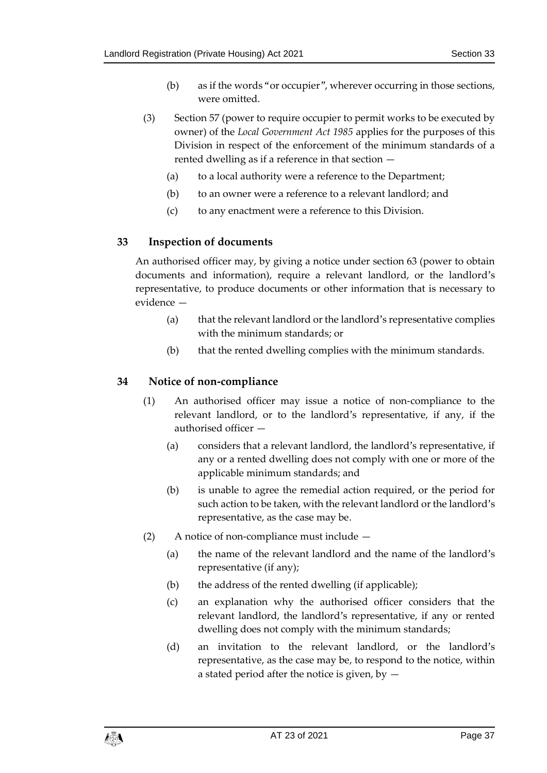- (b) as if the words "or occupier", wherever occurring in those sections, were omitted.
- (3) Section 57 (power to require occupier to permit works to be executed by owner) of the *Local Government Act 1985* applies for the purposes of this Division in respect of the enforcement of the minimum standards of a rented dwelling as if a reference in that section —
	- (a) to a local authority were a reference to the Department;
	- (b) to an owner were a reference to a relevant landlord; and
	- (c) to any enactment were a reference to this Division.

#### <span id="page-36-0"></span>**33 Inspection of documents**

An authorised officer may, by giving a notice under section [63](#page-59-0) (power to obtain documents and information), require a relevant landlord, or the landlord's representative, to produce documents or other information that is necessary to evidence —

- (a) that the relevant landlord or the landlord's representative complies with the minimum standards; or
- (b) that the rented dwelling complies with the minimum standards.

#### <span id="page-36-3"></span><span id="page-36-1"></span>**34 Notice of non-compliance**

- (1) An authorised officer may issue a notice of non-compliance to the relevant landlord, or to the landlord's representative, if any, if the authorised officer —
	- (a) considers that a relevant landlord, the landlord's representative, if any or a rented dwelling does not comply with one or more of the applicable minimum standards; and
	- (b) is unable to agree the remedial action required, or the period for such action to be taken, with the relevant landlord or the landlord's representative, as the case may be.
- <span id="page-36-2"></span>(2) A notice of non-compliance must include —
	- (a) the name of the relevant landlord and the name of the landlord's representative (if any);
	- (b) the address of the rented dwelling (if applicable);
	- (c) an explanation why the authorised officer considers that the relevant landlord, the landlord's representative, if any or rented dwelling does not comply with the minimum standards;
	- (d) an invitation to the relevant landlord, or the landlord's representative, as the case may be, to respond to the notice, within a stated period after the notice is given, by  $-$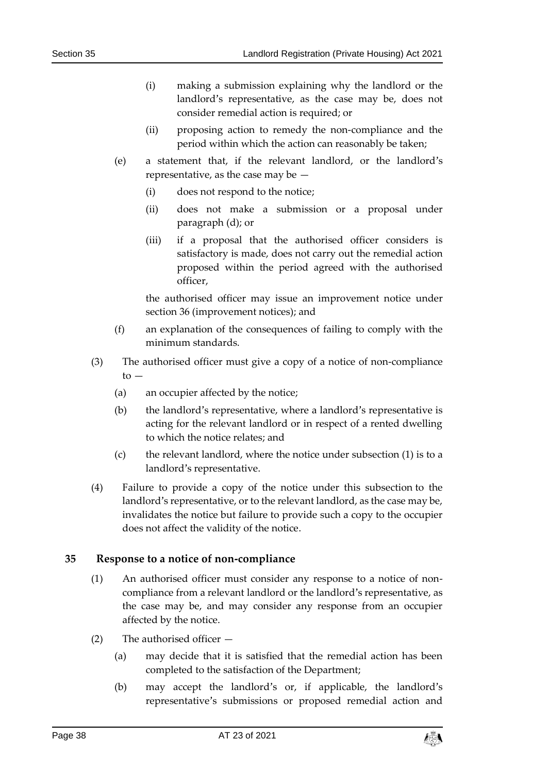- (i) making a submission explaining why the landlord or the landlord's representative, as the case may be, does not consider remedial action is required; or
- (ii) proposing action to remedy the non-compliance and the period within which the action can reasonably be taken;
- (e) a statement that, if the relevant landlord, or the landlord's representative, as the case may be —
	- (i) does not respond to the notice;
	- (ii) does not make a submission or a proposal under paragraph (d); or
	- (iii) if a proposal that the authorised officer considers is satisfactory is made, does not carry out the remedial action proposed within the period agreed with the authorised officer,

the authorised officer may issue an improvement notice under section [36](#page-38-0) (improvement notices); and

- (f) an explanation of the consequences of failing to comply with the minimum standards.
- (3) The authorised officer must give a copy of a notice of non-compliance to —
	- (a) an occupier affected by the notice;
	- (b) the landlord's representative, where a landlord's representative is acting for the relevant landlord or in respect of a rented dwelling to which the notice relates; and
	- (c) the relevant landlord, where the notice under subsection (1) is to a landlord's representative.
- (4) Failure to provide a copy of the notice under this subsection to the landlord's representative, or to the relevant landlord, as the case may be, invalidates the notice but failure to provide such a copy to the occupier does not affect the validity of the notice.

#### <span id="page-37-0"></span>**35 Response to a notice of non-compliance**

- (1) An authorised officer must consider any response to a notice of noncompliance from a relevant landlord or the landlord's representative, as the case may be, and may consider any response from an occupier affected by the notice.
- (2) The authorised officer
	- (a) may decide that it is satisfied that the remedial action has been completed to the satisfaction of the Department;
	- (b) may accept the landlord's or, if applicable, the landlord's representative's submissions or proposed remedial action and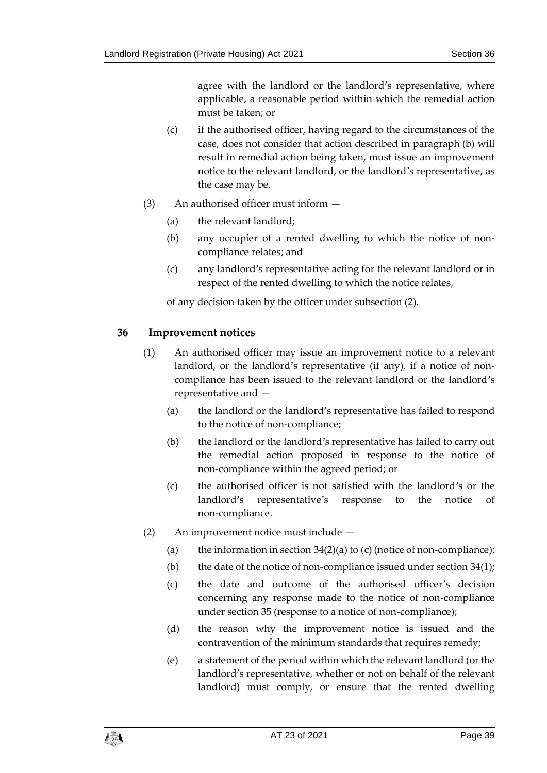agree with the landlord or the landlord's representative, where applicable, a reasonable period within which the remedial action must be taken; or

- (c) if the authorised officer, having regard to the circumstances of the case, does not consider that action described in paragraph (b) will result in remedial action being taken, must issue an improvement notice to the relevant landlord, or the landlord's representative, as the case may be.
- (3) An authorised officer must inform
	- (a) the relevant landlord;
	- (b) any occupier of a rented dwelling to which the notice of noncompliance relates; and
	- (c) any landlord's representative acting for the relevant landlord or in respect of the rented dwelling to which the notice relates,

of any decision taken by the officer under subsection (2).

#### <span id="page-38-1"></span><span id="page-38-0"></span>**36 Improvement notices**

- (1) An authorised officer may issue an improvement notice to a relevant landlord, or the landlord's representative (if any), if a notice of noncompliance has been issued to the relevant landlord or the landlord's representative and —
	- (a) the landlord or the landlord's representative has failed to respond to the notice of non-compliance;
	- (b) the landlord or the landlord's representative has failed to carry out the remedial action proposed in response to the notice of non-compliance within the agreed period; or
	- (c) the authorised officer is not satisfied with the landlord's or the landlord's representative's response to the notice of non-compliance.
- (2) An improvement notice must include
	- (a) the information in section  $34(2)(a)$  $34(2)(a)$  to (c) (notice of non-compliance);
	- (b) the date of the notice of non-compliance issued under section  $34(1)$ ;
	- (c) the date and outcome of the authorised officer's decision concerning any response made to the notice of non-compliance under section [35](#page-37-0) (response to a notice of non-compliance);
	- (d) the reason why the improvement notice is issued and the contravention of the minimum standards that requires remedy;
	- (e) a statement of the period within which the relevant landlord (or the landlord's representative, whether or not on behalf of the relevant landlord) must comply, or ensure that the rented dwelling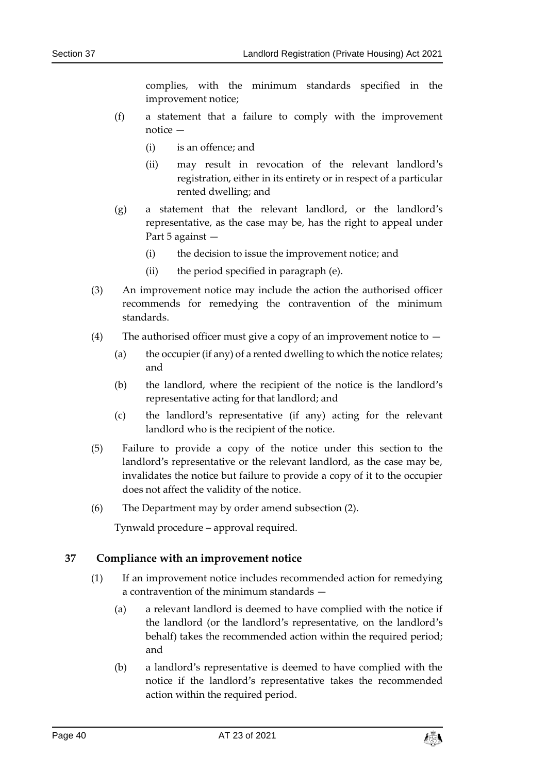complies, with the minimum standards specified in the improvement notice;

- (f) a statement that a failure to comply with the improvement notice —
	- (i) is an offence; and
	- (ii) may result in revocation of the relevant landlord's registration, either in its entirety or in respect of a particular rented dwelling; and
- (g) a statement that the relevant landlord, or the landlord's representative, as the case may be, has the right to appeal under Part 5 against —
	- (i) the decision to issue the improvement notice; and
	- (ii) the period specified in paragraph (e).
- (3) An improvement notice may include the action the authorised officer recommends for remedying the contravention of the minimum standards.
- (4) The authorised officer must give a copy of an improvement notice to  $-$ 
	- (a) the occupier (if any) of a rented dwelling to which the notice relates; and
	- (b) the landlord, where the recipient of the notice is the landlord's representative acting for that landlord; and
	- (c) the landlord's representative (if any) acting for the relevant landlord who is the recipient of the notice.
- (5) Failure to provide a copy of the notice under this section to the landlord's representative or the relevant landlord, as the case may be, invalidates the notice but failure to provide a copy of it to the occupier does not affect the validity of the notice.
- (6) The Department may by order amend subsection (2).

Tynwald procedure – approval required.

#### <span id="page-39-0"></span>**37 Compliance with an improvement notice**

- (1) If an improvement notice includes recommended action for remedying a contravention of the minimum standards —
	- (a) a relevant landlord is deemed to have complied with the notice if the landlord (or the landlord's representative, on the landlord's behalf) takes the recommended action within the required period; and
	- (b) a landlord's representative is deemed to have complied with the notice if the landlord's representative takes the recommended action within the required period.

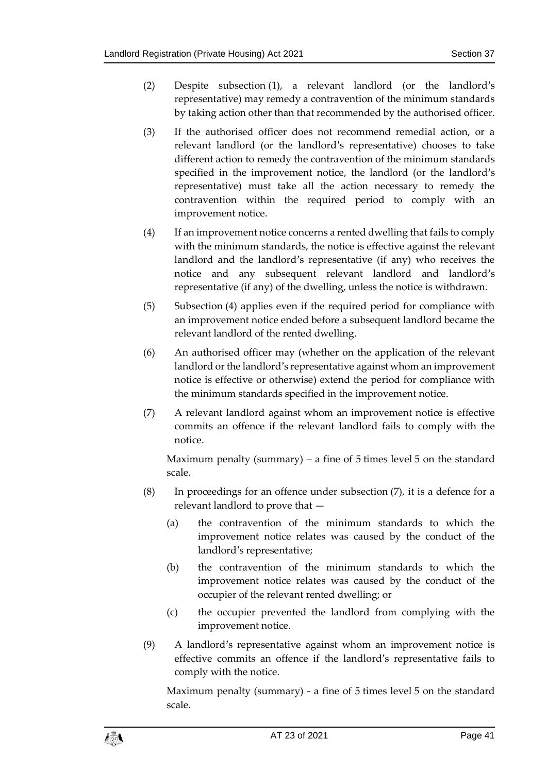- (2) Despite subsection (1), a relevant landlord (or the landlord's representative) may remedy a contravention of the minimum standards by taking action other than that recommended by the authorised officer.
- (3) If the authorised officer does not recommend remedial action, or a relevant landlord (or the landlord's representative) chooses to take different action to remedy the contravention of the minimum standards specified in the improvement notice, the landlord (or the landlord's representative) must take all the action necessary to remedy the contravention within the required period to comply with an improvement notice.
- (4) If an improvement notice concerns a rented dwelling that fails to comply with the minimum standards, the notice is effective against the relevant landlord and the landlord's representative (if any) who receives the notice and any subsequent relevant landlord and landlord's representative (if any) of the dwelling, unless the notice is withdrawn.
- (5) Subsection (4) applies even if the required period for compliance with an improvement notice ended before a subsequent landlord became the relevant landlord of the rented dwelling.
- (6) An authorised officer may (whether on the application of the relevant landlord or the landlord's representative against whom an improvement notice is effective or otherwise) extend the period for compliance with the minimum standards specified in the improvement notice.
- <span id="page-40-0"></span>(7) A relevant landlord against whom an improvement notice is effective commits an offence if the relevant landlord fails to comply with the notice.

Maximum penalty (summary) – a fine of  $5$  times level  $5$  on the standard scale.

- (8) In proceedings for an offence under subsection (7), it is a defence for a relevant landlord to prove that —
	- (a) the contravention of the minimum standards to which the improvement notice relates was caused by the conduct of the landlord's representative;
	- (b) the contravention of the minimum standards to which the improvement notice relates was caused by the conduct of the occupier of the relevant rented dwelling; or
	- (c) the occupier prevented the landlord from complying with the improvement notice.
- <span id="page-40-1"></span>(9) A landlord's representative against whom an improvement notice is effective commits an offence if the landlord's representative fails to comply with the notice.

Maximum penalty (summary) - a fine of 5 times level 5 on the standard scale.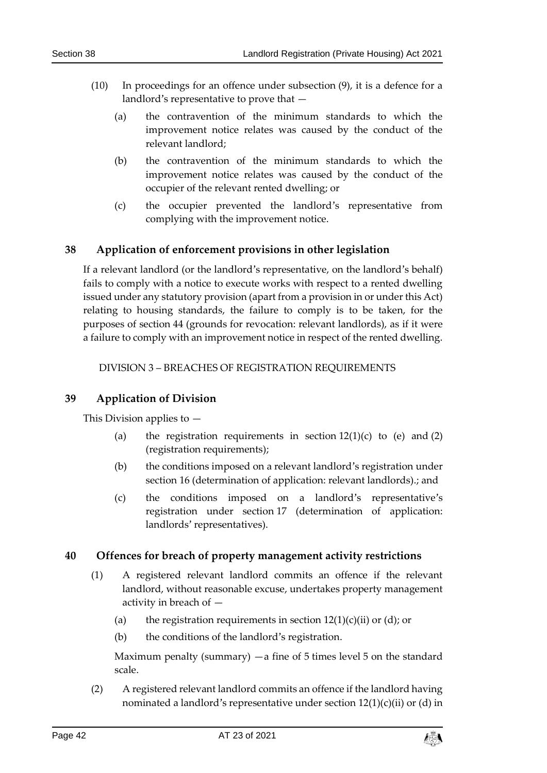- (10) In proceedings for an offence under subsection (9), it is a defence for a landlord's representative to prove that —
	- (a) the contravention of the minimum standards to which the improvement notice relates was caused by the conduct of the relevant landlord;
	- (b) the contravention of the minimum standards to which the improvement notice relates was caused by the conduct of the occupier of the relevant rented dwelling; or
	- (c) the occupier prevented the landlord's representative from complying with the improvement notice.

#### <span id="page-41-0"></span>**38 Application of enforcement provisions in other legislation**

If a relevant landlord (or the landlord's representative, on the landlord's behalf) fails to comply with a notice to execute works with respect to a rented dwelling issued under any statutory provision (apart from a provision in or under this Act) relating to housing standards, the failure to comply is to be taken, for the purposes of section [44](#page-45-1) (grounds for revocation: relevant landlords), as if it were a failure to comply with an improvement notice in respect of the rented dwelling.

DIVISION 3 – BREACHES OF REGISTRATION REQUIREMENTS

#### <span id="page-41-2"></span><span id="page-41-1"></span>**39 Application of Division**

This Division applies to —

- (a) the registration requirements in section  $12(1)(c)$  $12(1)(c)$  to (e) and  $(2)$ (registration requirements);
- (b) the conditions imposed on a relevant landlord's registration under section [16](#page-20-0) (determination of application: relevant landlords).; and
- (c) the conditions imposed on a landlord's representative's registration under section [17](#page-22-0) (determination of application: landlords' representatives).

#### <span id="page-41-4"></span><span id="page-41-3"></span>**40 Offences for breach of property management activity restrictions**

- (1) A registered relevant landlord commits an offence if the relevant landlord, without reasonable excuse, undertakes property management activity in breach of —
	- (a) the registration requirements in section  $12(1)(c)(ii)$  $12(1)(c)(ii)$  or (d); or
	- (b) the conditions of the landlord's registration.

Maximum penalty (summary)  $-a$  fine of 5 times level 5 on the standard scale.

(2) A registered relevant landlord commits an offence if the landlord having nominated a landlord's representative under section  $12(1)(c)(ii)$  $12(1)(c)(ii)$  or (d) in

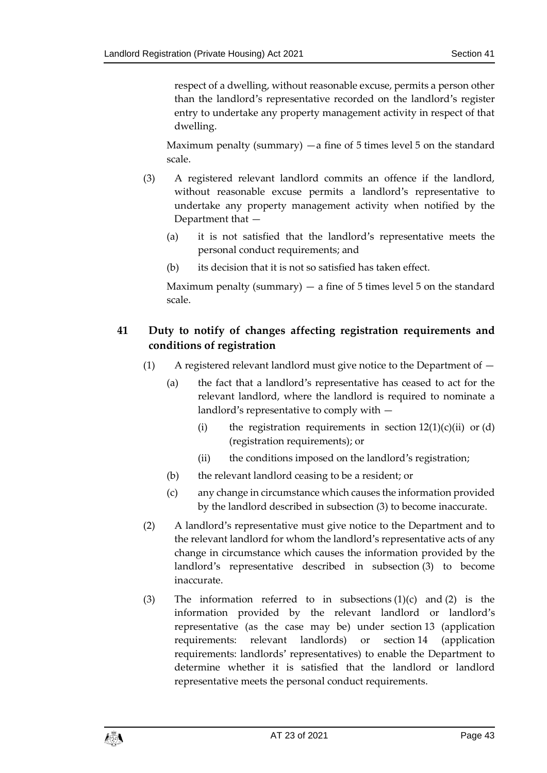respect of a dwelling, without reasonable excuse, permits a person other than the landlord's representative recorded on the landlord's register entry to undertake any property management activity in respect of that dwelling.

Maximum penalty (summary)  $-a$  fine of 5 times level 5 on the standard scale.

- <span id="page-42-4"></span>(3) A registered relevant landlord commits an offence if the landlord, without reasonable excuse permits a landlord's representative to undertake any property management activity when notified by the Department that —
	- (a) it is not satisfied that the landlord's representative meets the personal conduct requirements; and
	- (b) its decision that it is not so satisfied has taken effect.

Maximum penalty (summary)  $-$  a fine of 5 times level 5 on the standard scale.

#### <span id="page-42-1"></span><span id="page-42-0"></span>**41 Duty to notify of changes affecting registration requirements and conditions of registration**

- (1) A registered relevant landlord must give notice to the Department of
	- (a) the fact that a landlord's representative has ceased to act for the relevant landlord, where the landlord is required to nominate a landlord's representative to comply with —
		- (i) the registration requirements in section  $12(1)(c)(ii)$  $12(1)(c)(ii)$  or  $(d)$ (registration requirements); or
		- (ii) the conditions imposed on the landlord's registration;
	- (b) the relevant landlord ceasing to be a resident; or
	- (c) any change in circumstance which causes the information provided by the landlord described in subsection (3) to become inaccurate.
- <span id="page-42-2"></span>(2) A landlord's representative must give notice to the Department and to the relevant landlord for whom the landlord's representative acts of any change in circumstance which causes the information provided by the landlord's representative described in subsection (3) to become inaccurate.
- <span id="page-42-3"></span>(3) The information referred to in subsections  $(1)(c)$  and  $(2)$  is the information provided by the relevant landlord or landlord's representative (as the case may be) under section [13](#page-18-0) (application requirements: relevant landlords) or section [14](#page-18-1) (application requirements: landlords' representatives) to enable the Department to determine whether it is satisfied that the landlord or landlord representative meets the personal conduct requirements.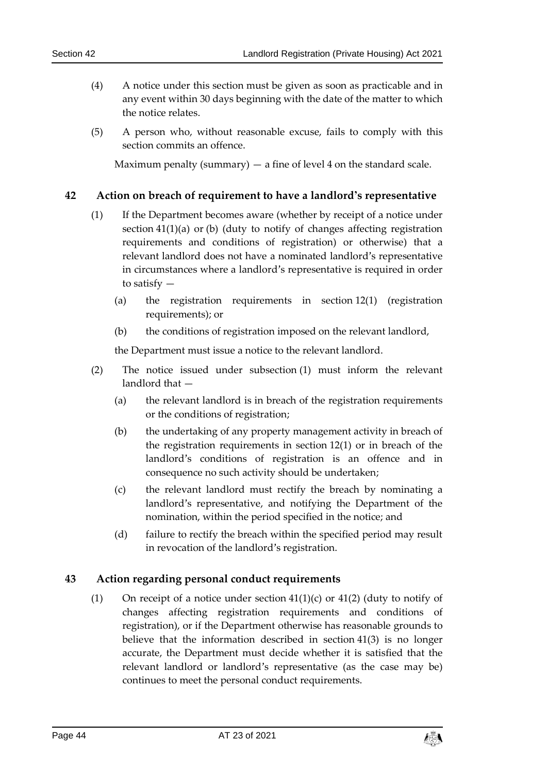- (4) A notice under this section must be given as soon as practicable and in any event within 30 days beginning with the date of the matter to which the notice relates.
- <span id="page-43-2"></span>(5) A person who, without reasonable excuse, fails to comply with this section commits an offence.

Maximum penalty (summary)  $-$  a fine of level 4 on the standard scale.

#### <span id="page-43-0"></span>**42 Action on breach of requirement to have a landlord's representative**

- (1) If the Department becomes aware (whether by receipt of a notice under section [41\(1\)\(](#page-42-1)a) or (b) (duty to notify of changes affecting registration requirements and conditions of registration) or otherwise) that a relevant landlord does not have a nominated landlord's representative in circumstances where a landlord's representative is required in order to satisfy —
	- (a) the registration requirements in section [12\(1\)](#page-16-1) (registration requirements); or
	- (b) the conditions of registration imposed on the relevant landlord,

the Department must issue a notice to the relevant landlord.

- (2) The notice issued under subsection (1) must inform the relevant landlord that —
	- (a) the relevant landlord is in breach of the registration requirements or the conditions of registration;
	- (b) the undertaking of any property management activity in breach of the registration requirements in section [12\(1\)](#page-16-1) or in breach of the landlord's conditions of registration is an offence and in consequence no such activity should be undertaken;
	- (c) the relevant landlord must rectify the breach by nominating a landlord's representative, and notifying the Department of the nomination, within the period specified in the notice; and
	- (d) failure to rectify the breach within the specified period may result in revocation of the landlord's registration.

#### <span id="page-43-1"></span>**43 Action regarding personal conduct requirements**

(1) On receipt of a notice under section  $41(1)(c)$  $41(1)(c)$  or  $41(2)$  (duty to notify of changes affecting registration requirements and conditions of registration), or if the Department otherwise has reasonable grounds to believe that the information described in section [41\(3\)](#page-42-3) is no longer accurate, the Department must decide whether it is satisfied that the relevant landlord or landlord's representative (as the case may be) continues to meet the personal conduct requirements.

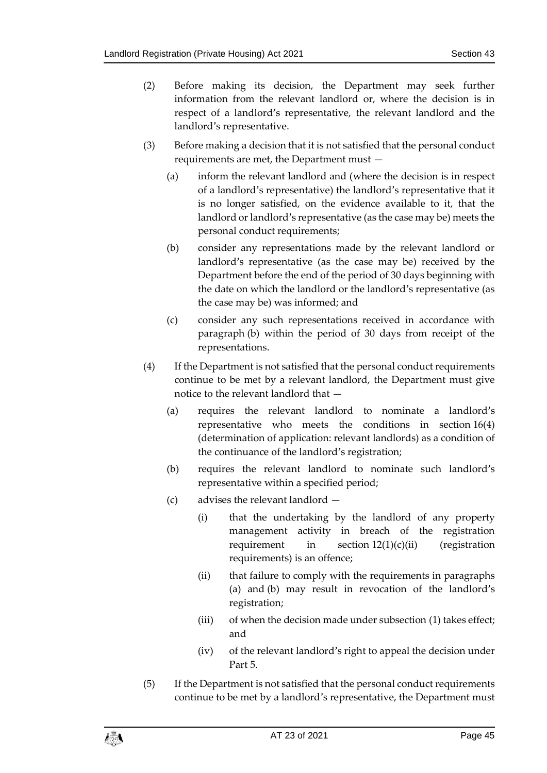- (2) Before making its decision, the Department may seek further information from the relevant landlord or, where the decision is in respect of a landlord's representative, the relevant landlord and the landlord's representative.
- (3) Before making a decision that it is not satisfied that the personal conduct requirements are met, the Department must —
	- (a) inform the relevant landlord and (where the decision is in respect of a landlord's representative) the landlord's representative that it is no longer satisfied, on the evidence available to it, that the landlord or landlord's representative (as the case may be) meets the personal conduct requirements;
	- (b) consider any representations made by the relevant landlord or landlord's representative (as the case may be) received by the Department before the end of the period of 30 days beginning with the date on which the landlord or the landlord's representative (as the case may be) was informed; and
	- (c) consider any such representations received in accordance with paragraph (b) within the period of 30 days from receipt of the representations.
- <span id="page-44-0"></span>(4) If the Department is not satisfied that the personal conduct requirements continue to be met by a relevant landlord, the Department must give notice to the relevant landlord that —
	- (a) requires the relevant landlord to nominate a landlord's representative who meets the conditions in section [16\(4\)](#page-20-2) (determination of application: relevant landlords) as a condition of the continuance of the landlord's registration;
	- (b) requires the relevant landlord to nominate such landlord's representative within a specified period;
	- (c) advises the relevant landlord
		- (i) that the undertaking by the landlord of any property management activity in breach of the registration requirement in section  $12(1)(c)(ii)$  $12(1)(c)(ii)$  (registration requirements) is an offence;
		- (ii) that failure to comply with the requirements in paragraphs (a) and (b) may result in revocation of the landlord's registration;
		- (iii) of when the decision made under subsection (1) takes effect; and
		- (iv) of the relevant landlord's right to appeal the decision under Part 5.
- <span id="page-44-1"></span>(5) If the Department is not satisfied that the personal conduct requirements continue to be met by a landlord's representative, the Department must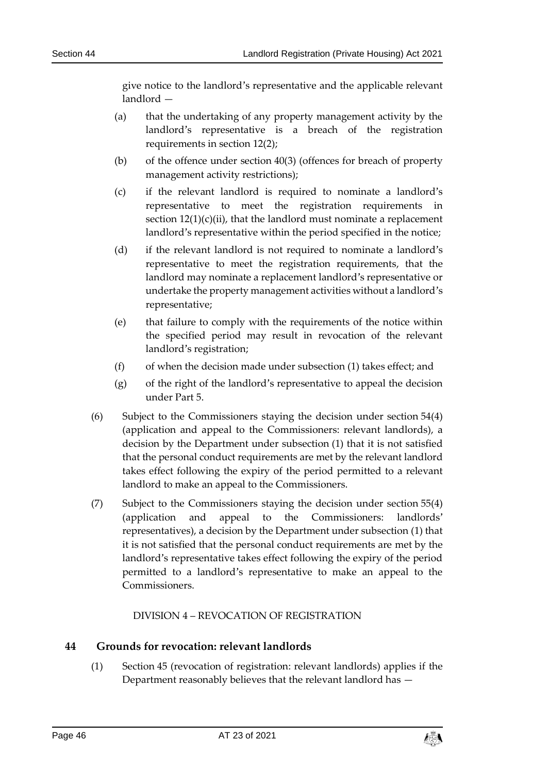give notice to the landlord's representative and the applicable relevant landlord —

- (a) that the undertaking of any property management activity by the landlord's representative is a breach of the registration requirements in section [12\(2\);](#page-17-1)
- (b) of the offence under section [40\(3\)](#page-42-4) (offences for breach of property management activity restrictions);
- (c) if the relevant landlord is required to nominate a landlord's representative to meet the registration requirements in section  $12(1)(c)(ii)$  $12(1)(c)(ii)$ , that the landlord must nominate a replacement landlord's representative within the period specified in the notice;
- (d) if the relevant landlord is not required to nominate a landlord's representative to meet the registration requirements, that the landlord may nominate a replacement landlord's representative or undertake the property management activities without a landlord's representative;
- (e) that failure to comply with the requirements of the notice within the specified period may result in revocation of the relevant landlord's registration;
- (f) of when the decision made under subsection (1) takes effect; and
- (g) of the right of the landlord's representative to appeal the decision under Part 5.
- (6) Subject to the Commissioners staying the decision under section [54\(4\)](#page-53-1) (application and appeal to the Commissioners: relevant landlords), a decision by the Department under subsection (1) that it is not satisfied that the personal conduct requirements are met by the relevant landlord takes effect following the expiry of the period permitted to a relevant landlord to make an appeal to the Commissioners.
- (7) Subject to the Commissioners staying the decision under section [55\(4\)](#page-55-1) (application and appeal to the Commissioners: landlords' representatives), a decision by the Department under subsection (1) that it is not satisfied that the personal conduct requirements are met by the landlord's representative takes effect following the expiry of the period permitted to a landlord's representative to make an appeal to the Commissioners.

DIVISION 4 – REVOCATION OF REGISTRATION

#### <span id="page-45-2"></span><span id="page-45-1"></span><span id="page-45-0"></span>**44 Grounds for revocation: relevant landlords**

(1) Section [45](#page-46-0) (revocation of registration: relevant landlords) applies if the Department reasonably believes that the relevant landlord has —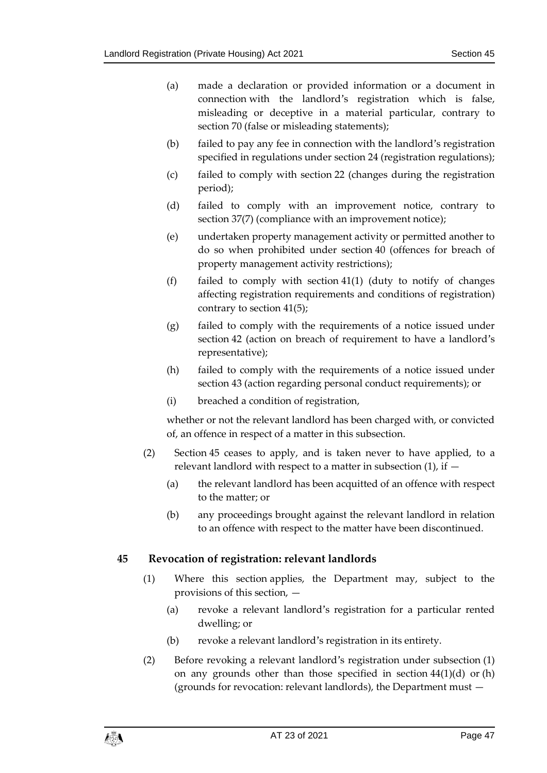- (a) made a declaration or provided information or a document in connection with the landlord's registration which is false, misleading or deceptive in a material particular, contrary to section [70](#page-63-0) (false or misleading statements);
- (b) failed to pay any fee in connection with the landlord's registration specified in regulations under section [24](#page-29-1) (registration regulations);
- (c) failed to comply with section [22](#page-28-0) (changes during the registration period);
- (d) failed to comply with an improvement notice, contrary to section [37\(7\)](#page-40-0) (compliance with an improvement notice);
- (e) undertaken property management activity or permitted another to do so when prohibited under section [40](#page-41-3) (offences for breach of property management activity restrictions);
- (f) failed to comply with section [41\(1\)](#page-42-1) (duty to notify of changes affecting registration requirements and conditions of registration) contrary to section [41\(5\);](#page-43-2)
- (g) failed to comply with the requirements of a notice issued under section [42](#page-43-0) (action on breach of requirement to have a landlord's representative);
- (h) failed to comply with the requirements of a notice issued under section [43](#page-43-1) (action regarding personal conduct requirements); or
- (i) breached a condition of registration,

whether or not the relevant landlord has been charged with, or convicted of, an offence in respect of a matter in this subsection.

- (2) Section [45](#page-46-0) ceases to apply, and is taken never to have applied, to a relevant landlord with respect to a matter in subsection (1), if —
	- (a) the relevant landlord has been acquitted of an offence with respect to the matter; or
	- (b) any proceedings brought against the relevant landlord in relation to an offence with respect to the matter have been discontinued.

#### <span id="page-46-0"></span>**45 Revocation of registration: relevant landlords**

- (1) Where this section applies, the Department may, subject to the provisions of this section, —
	- (a) revoke a relevant landlord's registration for a particular rented dwelling; or
	- (b) revoke a relevant landlord's registration in its entirety.
- (2) Before revoking a relevant landlord's registration under subsection (1) on any grounds other than those specified in section  $44(1)(d)$  $44(1)(d)$  or (h) (grounds for revocation: relevant landlords), the Department must —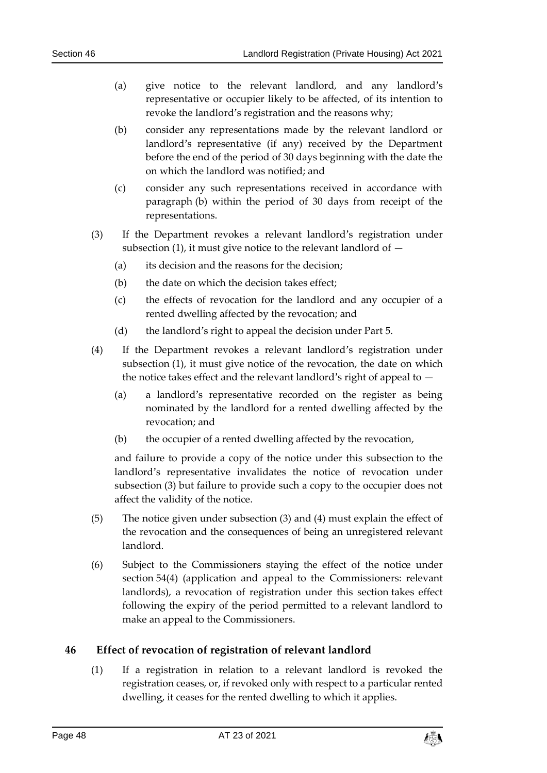- (a) give notice to the relevant landlord, and any landlord's representative or occupier likely to be affected, of its intention to revoke the landlord's registration and the reasons why;
- (b) consider any representations made by the relevant landlord or landlord's representative (if any) received by the Department before the end of the period of 30 days beginning with the date the on which the landlord was notified; and
- (c) consider any such representations received in accordance with paragraph (b) within the period of 30 days from receipt of the representations.
- (3) If the Department revokes a relevant landlord's registration under subsection  $(1)$ , it must give notice to the relevant landlord of  $-$ 
	- (a) its decision and the reasons for the decision;
	- (b) the date on which the decision takes effect;
	- (c) the effects of revocation for the landlord and any occupier of a rented dwelling affected by the revocation; and
	- (d) the landlord's right to appeal the decision under Part 5.
- <span id="page-47-1"></span>(4) If the Department revokes a relevant landlord's registration under subsection (1), it must give notice of the revocation, the date on which the notice takes effect and the relevant landlord's right of appeal to —
	- (a) a landlord's representative recorded on the register as being nominated by the landlord for a rented dwelling affected by the revocation; and
	- (b) the occupier of a rented dwelling affected by the revocation,

and failure to provide a copy of the notice under this subsection to the landlord's representative invalidates the notice of revocation under subsection (3) but failure to provide such a copy to the occupier does not affect the validity of the notice.

- (5) The notice given under subsection (3) and (4) must explain the effect of the revocation and the consequences of being an unregistered relevant landlord.
- (6) Subject to the Commissioners staying the effect of the notice under section [54\(4\)](#page-53-1) (application and appeal to the Commissioners: relevant landlords), a revocation of registration under this section takes effect following the expiry of the period permitted to a relevant landlord to make an appeal to the Commissioners.

#### <span id="page-47-0"></span>**46 Effect of revocation of registration of relevant landlord**

(1) If a registration in relation to a relevant landlord is revoked the registration ceases, or, if revoked only with respect to a particular rented dwelling, it ceases for the rented dwelling to which it applies.

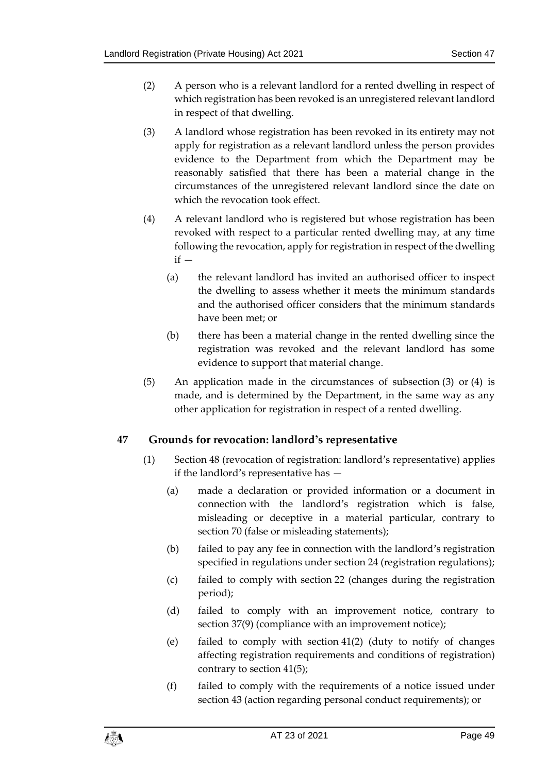- (2) A person who is a relevant landlord for a rented dwelling in respect of which registration has been revoked is an unregistered relevant landlord in respect of that dwelling.
- (3) A landlord whose registration has been revoked in its entirety may not apply for registration as a relevant landlord unless the person provides evidence to the Department from which the Department may be reasonably satisfied that there has been a material change in the circumstances of the unregistered relevant landlord since the date on which the revocation took effect.
- (4) A relevant landlord who is registered but whose registration has been revoked with respect to a particular rented dwelling may, at any time following the revocation, apply for registration in respect of the dwelling  $if -$ 
	- (a) the relevant landlord has invited an authorised officer to inspect the dwelling to assess whether it meets the minimum standards and the authorised officer considers that the minimum standards have been met; or
	- (b) there has been a material change in the rented dwelling since the registration was revoked and the relevant landlord has some evidence to support that material change.
- (5) An application made in the circumstances of subsection (3) or (4) is made, and is determined by the Department, in the same way as any other application for registration in respect of a rented dwelling.

#### <span id="page-48-0"></span>**47 Grounds for revocation: landlord's representative**

- (1) Section [48](#page-49-0) (revocation of registration: landlord's representative) applies if the landlord's representative has —
	- (a) made a declaration or provided information or a document in connection with the landlord's registration which is false, misleading or deceptive in a material particular, contrary to section [70](#page-63-0) (false or misleading statements);
	- (b) failed to pay any fee in connection with the landlord's registration specified in regulations under section [24](#page-29-1) (registration regulations);
	- (c) failed to comply with section [22](#page-28-0) (changes during the registration period);
	- (d) failed to comply with an improvement notice, contrary to section [37\(9\)](#page-40-1) (compliance with an improvement notice);
	- (e) failed to comply with section [41\(2\)](#page-42-2) (duty to notify of changes affecting registration requirements and conditions of registration) contrary to section [41\(5\);](#page-43-2)
	- (f) failed to comply with the requirements of a notice issued under section [43](#page-43-1) (action regarding personal conduct requirements); or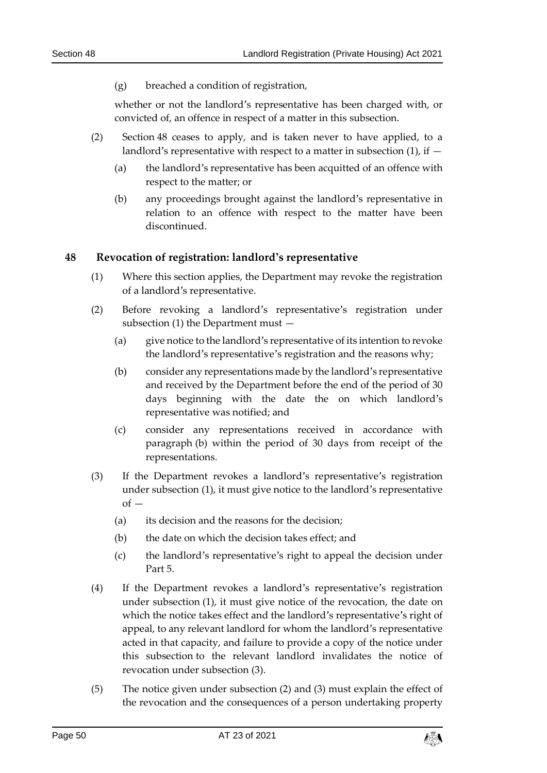(g) breached a condition of registration,

whether or not the landlord's representative has been charged with, or convicted of, an offence in respect of a matter in this subsection.

- (2) Section [48](#page-49-0) ceases to apply, and is taken never to have applied, to a landlord's representative with respect to a matter in subsection  $(1)$ , if  $-$ 
	- (a) the landlord's representative has been acquitted of an offence with respect to the matter; or
	- (b) any proceedings brought against the landlord's representative in relation to an offence with respect to the matter have been discontinued.

#### <span id="page-49-0"></span>**48 Revocation of registration: landlord's representative**

- (1) Where this section applies, the Department may revoke the registration of a landlord's representative.
- (2) Before revoking a landlord's representative's registration under subsection (1) the Department must —
	- (a) give notice to the landlord's representative of its intention to revoke the landlord's representative's registration and the reasons why;
	- (b) consider any representations made by the landlord's representative and received by the Department before the end of the period of 30 days beginning with the date the on which landlord's representative was notified; and
	- (c) consider any representations received in accordance with paragraph (b) within the period of 30 days from receipt of the representations.
- (3) If the Department revokes a landlord's representative's registration under subsection (1), it must give notice to the landlord's representative  $\sigma$ f -
	- (a) its decision and the reasons for the decision;
	- (b) the date on which the decision takes effect; and
	- (c) the landlord's representative's right to appeal the decision under Part 5.
- (4) If the Department revokes a landlord's representative's registration under subsection (1), it must give notice of the revocation, the date on which the notice takes effect and the landlord's representative's right of appeal, to any relevant landlord for whom the landlord's representative acted in that capacity, and failure to provide a copy of the notice under this subsection to the relevant landlord invalidates the notice of revocation under subsection (3).
- (5) The notice given under subsection (2) and (3) must explain the effect of the revocation and the consequences of a person undertaking property

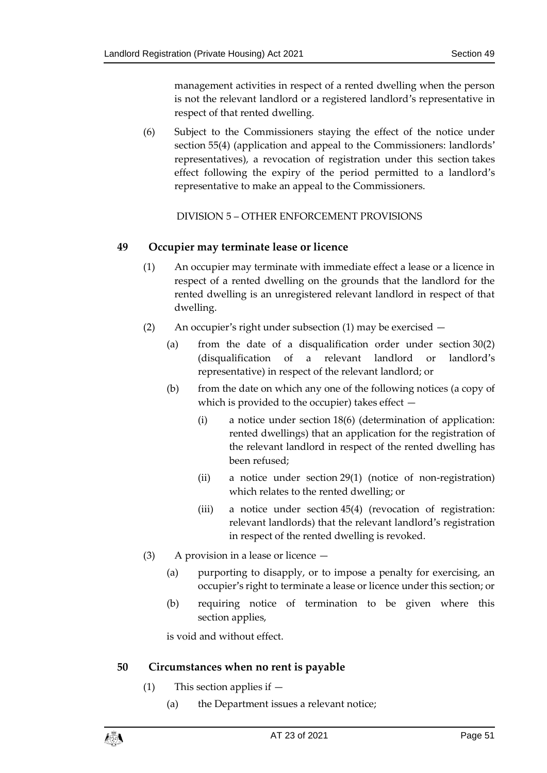management activities in respect of a rented dwelling when the person is not the relevant landlord or a registered landlord's representative in respect of that rented dwelling.

(6) Subject to the Commissioners staying the effect of the notice under section [55\(4\)](#page-55-1) (application and appeal to the Commissioners: landlords' representatives), a revocation of registration under this section takes effect following the expiry of the period permitted to a landlord's representative to make an appeal to the Commissioners.

DIVISION 5 – OTHER ENFORCEMENT PROVISIONS

#### <span id="page-50-1"></span><span id="page-50-0"></span>**49 Occupier may terminate lease or licence**

- (1) An occupier may terminate with immediate effect a lease or a licence in respect of a rented dwelling on the grounds that the landlord for the rented dwelling is an unregistered relevant landlord in respect of that dwelling.
- (2) An occupier's right under subsection (1) may be exercised
	- (a) from the date of a disqualification order under section [30\(2\)](#page-34-1) (disqualification of a relevant landlord or landlord's representative) in respect of the relevant landlord; or
	- (b) from the date on which any one of the following notices (a copy of which is provided to the occupier) takes effect —
		- (i) a notice under section [18\(6\)](#page-24-2) (determination of application: rented dwellings) that an application for the registration of the relevant landlord in respect of the rented dwelling has been refused;
		- (ii) a notice under section [29\(1\)](#page-33-4) (notice of non-registration) which relates to the rented dwelling; or
		- (iii) a notice under section [45\(4\)](#page-47-1) (revocation of registration: relevant landlords) that the relevant landlord's registration in respect of the rented dwelling is revoked.
- (3) A provision in a lease or licence
	- (a) purporting to disapply, or to impose a penalty for exercising, an occupier's right to terminate a lease or licence under this section; or
	- (b) requiring notice of termination to be given where this section applies,

is void and without effect.

#### <span id="page-50-2"></span>**50 Circumstances when no rent is payable**

- (1) This section applies if
	- (a) the Department issues a relevant notice;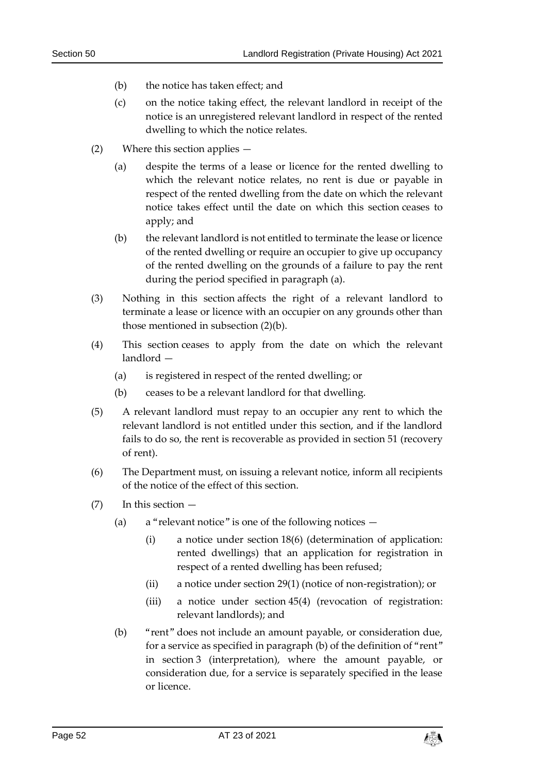- (b) the notice has taken effect; and
- (c) on the notice taking effect, the relevant landlord in receipt of the notice is an unregistered relevant landlord in respect of the rented dwelling to which the notice relates.
- (2) Where this section applies
	- (a) despite the terms of a lease or licence for the rented dwelling to which the relevant notice relates, no rent is due or payable in respect of the rented dwelling from the date on which the relevant notice takes effect until the date on which this section ceases to apply; and
	- (b) the relevant landlord is not entitled to terminate the lease or licence of the rented dwelling or require an occupier to give up occupancy of the rented dwelling on the grounds of a failure to pay the rent during the period specified in paragraph (a).
- (3) Nothing in this section affects the right of a relevant landlord to terminate a lease or licence with an occupier on any grounds other than those mentioned in subsection (2)(b).
- (4) This section ceases to apply from the date on which the relevant landlord —
	- (a) is registered in respect of the rented dwelling; or
	- (b) ceases to be a relevant landlord for that dwelling.
- (5) A relevant landlord must repay to an occupier any rent to which the relevant landlord is not entitled under this section, and if the landlord fails to do so, the rent is recoverable as provided in section [51](#page-52-0) (recovery of rent).
- (6) The Department must, on issuing a relevant notice, inform all recipients of the notice of the effect of this section.
- <span id="page-51-0"></span>(7) In this section —
	- (a) a "relevant notice" is one of the following notices  $-$ 
		- (i) a notice under section [18\(6\)](#page-24-2) (determination of application: rented dwellings) that an application for registration in respect of a rented dwelling has been refused;
		- (ii) a notice under section [29\(1\)](#page-33-4) (notice of non-registration); or
		- (iii) a notice under section [45\(4\)](#page-47-1) (revocation of registration: relevant landlords); and
	- (b) "rent" does not include an amount payable, or consideration due, for a service as specified in paragraph (b) of the definition of "rent" in section [3](#page-7-0) (interpretation), where the amount payable, or consideration due, for a service is separately specified in the lease or licence.

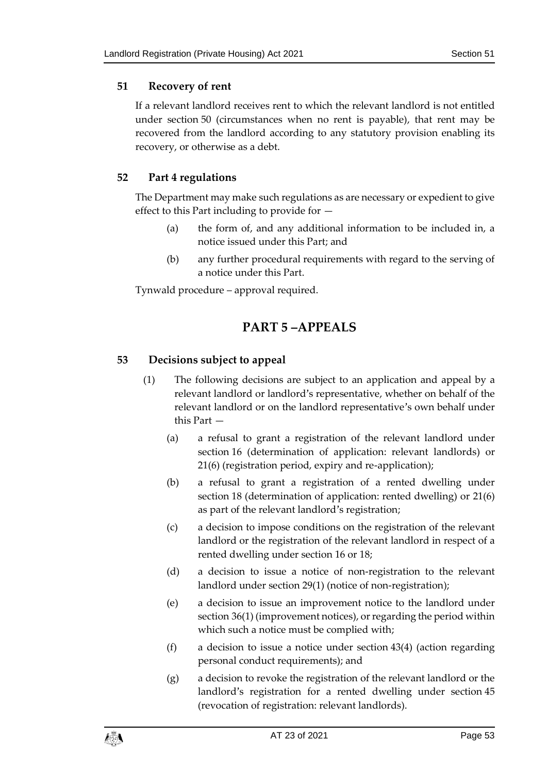#### <span id="page-52-0"></span>**51 Recovery of rent**

If a relevant landlord receives rent to which the relevant landlord is not entitled under section [50](#page-50-2) (circumstances when no rent is payable), that rent may be recovered from the landlord according to any statutory provision enabling its recovery, or otherwise as a debt.

#### <span id="page-52-1"></span>**52 Part 4 regulations**

The Department may make such regulations as are necessary or expedient to give effect to this Part including to provide for —

- (a) the form of, and any additional information to be included in, a notice issued under this Part; and
- (b) any further procedural requirements with regard to the serving of a notice under this Part.

<span id="page-52-2"></span>Tynwald procedure – approval required.

## **PART 5 –APPEALS**

#### <span id="page-52-4"></span><span id="page-52-3"></span>**53 Decisions subject to appeal**

- (1) The following decisions are subject to an application and appeal by a relevant landlord or landlord's representative, whether on behalf of the relevant landlord or on the landlord representative's own behalf under this Part —
	- (a) a refusal to grant a registration of the relevant landlord under section [16](#page-20-0) (determination of application: relevant landlords) or [21\(6\)](#page-27-2) (registration period, expiry and re-application);
	- (b) a refusal to grant a registration of a rented dwelling under section [18](#page-23-0) (determination of application: rented dwelling) or [21\(6\)](#page-27-2) as part of the relevant landlord's registration;
	- (c) a decision to impose conditions on the registration of the relevant landlord or the registration of the relevant landlord in respect of a rented dwelling under section [16](#page-20-0) or [18;](#page-23-0)
	- (d) a decision to issue a notice of non-registration to the relevant landlord under section [29\(1\)](#page-33-4) (notice of non-registration);
	- (e) a decision to issue an improvement notice to the landlord under section [36\(1\)](#page-38-1) (improvement notices), or regarding the period within which such a notice must be complied with;
	- (f) a decision to issue a notice under section [43\(4\)](#page-44-0) (action regarding personal conduct requirements); and
	- (g) a decision to revoke the registration of the relevant landlord or the landlord's registration for a rented dwelling under section [45](#page-46-0) (revocation of registration: relevant landlords).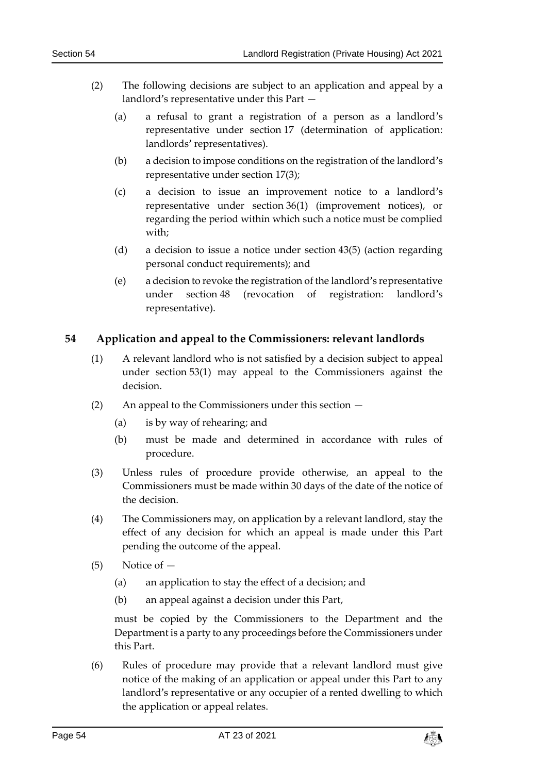- <span id="page-53-2"></span>(2) The following decisions are subject to an application and appeal by a landlord's representative under this Part —
	- (a) a refusal to grant a registration of a person as a landlord's representative under section [17](#page-22-0) (determination of application: landlords' representatives).
	- (b) a decision to impose conditions on the registration of the landlord's representative under section [17\(3\);](#page-22-2)
	- (c) a decision to issue an improvement notice to a landlord's representative under section [36\(1\)](#page-38-1) (improvement notices), or regarding the period within which such a notice must be complied with;
	- (d) a decision to issue a notice under section [43\(5\)](#page-44-1) (action regarding personal conduct requirements); and
	- (e) a decision to revoke the registration of the landlord's representative under section [48](#page-49-0) (revocation of registration: landlord's representative).

#### <span id="page-53-0"></span>**54 Application and appeal to the Commissioners: relevant landlords**

- (1) A relevant landlord who is not satisfied by a decision subject to appeal under section [53\(1\)](#page-52-4) may appeal to the Commissioners against the decision.
- (2) An appeal to the Commissioners under this section
	- (a) is by way of rehearing; and
	- (b) must be made and determined in accordance with rules of procedure.
- (3) Unless rules of procedure provide otherwise, an appeal to the Commissioners must be made within 30 days of the date of the notice of the decision.
- <span id="page-53-1"></span>(4) The Commissioners may, on application by a relevant landlord, stay the effect of any decision for which an appeal is made under this Part pending the outcome of the appeal.
- (5) Notice of
	- (a) an application to stay the effect of a decision; and
	- (b) an appeal against a decision under this Part,

must be copied by the Commissioners to the Department and the Department is a party to any proceedings before the Commissioners under this Part.

(6) Rules of procedure may provide that a relevant landlord must give notice of the making of an application or appeal under this Part to any landlord's representative or any occupier of a rented dwelling to which the application or appeal relates.

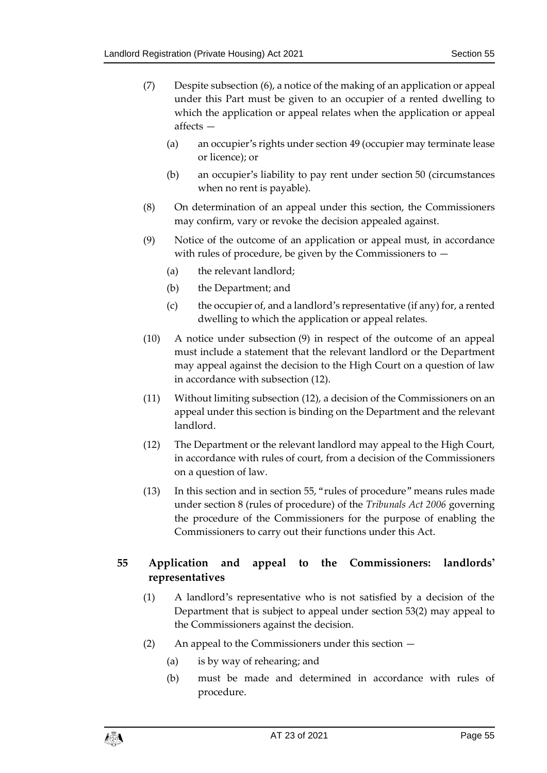- (7) Despite subsection (6), a notice of the making of an application or appeal under this Part must be given to an occupier of a rented dwelling to which the application or appeal relates when the application or appeal affects —
	- (a) an occupier's rights under section [49](#page-50-1) (occupier may terminate lease or licence); or
	- (b) an occupier's liability to pay rent under section [50](#page-50-2) (circumstances when no rent is payable).
- (8) On determination of an appeal under this section, the Commissioners may confirm, vary or revoke the decision appealed against.
- (9) Notice of the outcome of an application or appeal must, in accordance with rules of procedure, be given by the Commissioners to  $-$ 
	- (a) the relevant landlord;
	- (b) the Department; and
	- (c) the occupier of, and a landlord's representative (if any) for, a rented dwelling to which the application or appeal relates.
- (10) A notice under subsection (9) in respect of the outcome of an appeal must include a statement that the relevant landlord or the Department may appeal against the decision to the High Court on a question of law in accordance with subsection (12).
- (11) Without limiting subsection (12), a decision of the Commissioners on an appeal under this section is binding on the Department and the relevant landlord.
- (12) The Department or the relevant landlord may appeal to the High Court, in accordance with rules of court, from a decision of the Commissioners on a question of law.
- (13) In this section and in section [55](#page-54-0), "rules of procedure" means rules made under section 8 (rules of procedure) of the *Tribunals Act 2006* governing the procedure of the Commissioners for the purpose of enabling the Commissioners to carry out their functions under this Act.

#### <span id="page-54-0"></span>**55 Application and appeal to the Commissioners: landlords' representatives**

- (1) A landlord's representative who is not satisfied by a decision of the Department that is subject to appeal under section [53\(2\)](#page-53-2) may appeal to the Commissioners against the decision.
- (2) An appeal to the Commissioners under this section
	- (a) is by way of rehearing; and
	- (b) must be made and determined in accordance with rules of procedure.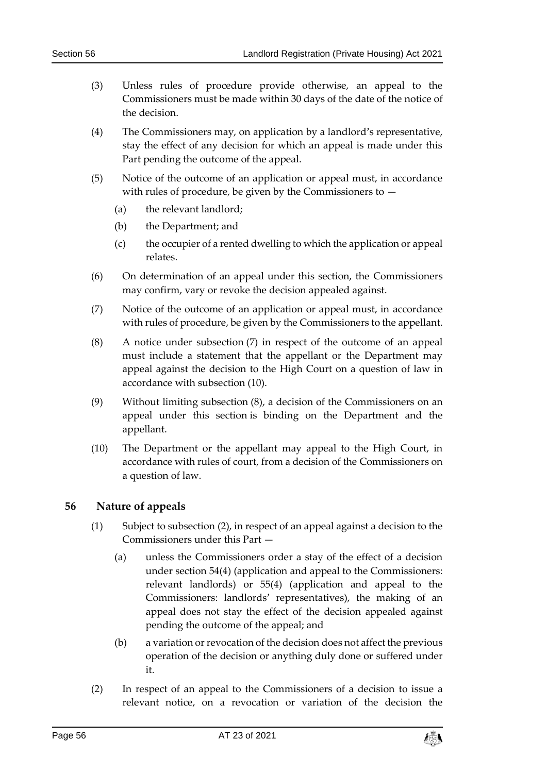- (3) Unless rules of procedure provide otherwise, an appeal to the Commissioners must be made within 30 days of the date of the notice of the decision.
- <span id="page-55-1"></span>(4) The Commissioners may, on application by a landlord's representative, stay the effect of any decision for which an appeal is made under this Part pending the outcome of the appeal.
- (5) Notice of the outcome of an application or appeal must, in accordance with rules of procedure, be given by the Commissioners to —
	- (a) the relevant landlord;
	- (b) the Department; and
	- (c) the occupier of a rented dwelling to which the application or appeal relates.
- (6) On determination of an appeal under this section, the Commissioners may confirm, vary or revoke the decision appealed against.
- (7) Notice of the outcome of an application or appeal must, in accordance with rules of procedure, be given by the Commissioners to the appellant.
- (8) A notice under subsection (7) in respect of the outcome of an appeal must include a statement that the appellant or the Department may appeal against the decision to the High Court on a question of law in accordance with subsection (10).
- (9) Without limiting subsection (8), a decision of the Commissioners on an appeal under this section is binding on the Department and the appellant.
- (10) The Department or the appellant may appeal to the High Court, in accordance with rules of court, from a decision of the Commissioners on a question of law.

#### <span id="page-55-0"></span>**56 Nature of appeals**

- (1) Subject to subsection (2), in respect of an appeal against a decision to the Commissioners under this Part —
	- (a) unless the Commissioners order a stay of the effect of a decision under section [54\(4\)](#page-53-1) (application and appeal to the Commissioners: relevant landlords) or [55\(4\)](#page-55-1) (application and appeal to the Commissioners: landlords' representatives), the making of an appeal does not stay the effect of the decision appealed against pending the outcome of the appeal; and
	- (b) a variation or revocation of the decision does not affect the previous operation of the decision or anything duly done or suffered under it.
- (2) In respect of an appeal to the Commissioners of a decision to issue a relevant notice, on a revocation or variation of the decision the

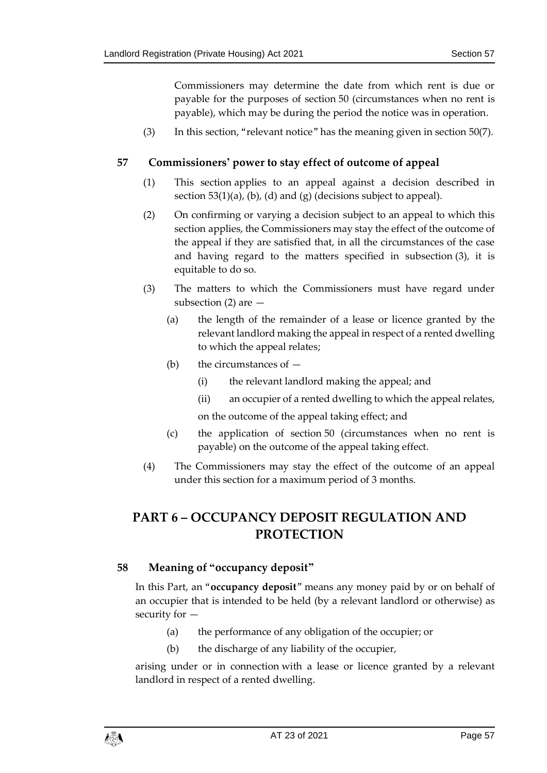Commissioners may determine the date from which rent is due or payable for the purposes of section [50](#page-50-2) (circumstances when no rent is payable), which may be during the period the notice was in operation.

(3) In this section, "relevant notice" has the meaning given in section [50\(7\).](#page-51-0)

#### <span id="page-56-0"></span>**57 Commissioners' power to stay effect of outcome of appeal**

- (1) This section applies to an appeal against a decision described in section [53\(1\)\(](#page-52-4)a), (b), (d) and (g) (decisions subject to appeal).
- (2) On confirming or varying a decision subject to an appeal to which this section applies, the Commissioners may stay the effect of the outcome of the appeal if they are satisfied that, in all the circumstances of the case and having regard to the matters specified in subsection (3), it is equitable to do so.
- (3) The matters to which the Commissioners must have regard under subsection  $(2)$  are  $-$ 
	- (a) the length of the remainder of a lease or licence granted by the relevant landlord making the appeal in respect of a rented dwelling to which the appeal relates;
	- (b) the circumstances of  $-$ 
		- (i) the relevant landlord making the appeal; and
		- (ii) an occupier of a rented dwelling to which the appeal relates,

on the outcome of the appeal taking effect; and

- (c) the application of section [50](#page-50-2) (circumstances when no rent is payable) on the outcome of the appeal taking effect.
- (4) The Commissioners may stay the effect of the outcome of an appeal under this section for a maximum period of 3 months.

## <span id="page-56-1"></span>**PART 6 – OCCUPANCY DEPOSIT REGULATION AND PROTECTION**

#### <span id="page-56-2"></span>**58 Meaning of "occupancy deposit"**

In this Part, an "**occupancy deposit**" means any money paid by or on behalf of an occupier that is intended to be held (by a relevant landlord or otherwise) as security for —

- (a) the performance of any obligation of the occupier; or
- (b) the discharge of any liability of the occupier,

arising under or in connection with a lease or licence granted by a relevant landlord in respect of a rented dwelling.

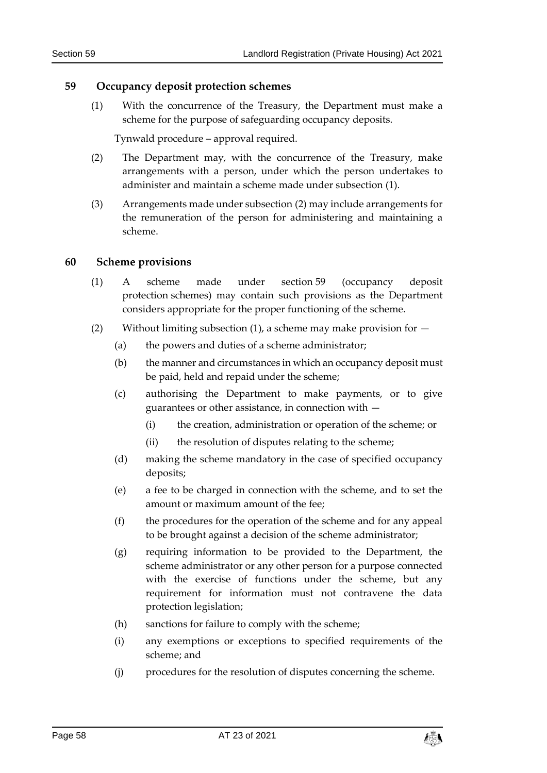#### <span id="page-57-3"></span><span id="page-57-0"></span>**59 Occupancy deposit protection schemes**

(1) With the concurrence of the Treasury, the Department must make a scheme for the purpose of safeguarding occupancy deposits.

Tynwald procedure – approval required.

- <span id="page-57-2"></span>(2) The Department may, with the concurrence of the Treasury, make arrangements with a person, under which the person undertakes to administer and maintain a scheme made under subsection (1).
- (3) Arrangements made under subsection (2) may include arrangements for the remuneration of the person for administering and maintaining a scheme.

#### <span id="page-57-1"></span>**60 Scheme provisions**

- (1) A scheme made under section [59](#page-57-0) (occupancy deposit protection schemes) may contain such provisions as the Department considers appropriate for the proper functioning of the scheme.
- (2) Without limiting subsection (1), a scheme may make provision for  $-$ 
	- (a) the powers and duties of a scheme administrator;
	- (b) the manner and circumstances in which an occupancy deposit must be paid, held and repaid under the scheme;
	- (c) authorising the Department to make payments, or to give guarantees or other assistance, in connection with —
		- (i) the creation, administration or operation of the scheme; or
		- (ii) the resolution of disputes relating to the scheme;
	- (d) making the scheme mandatory in the case of specified occupancy deposits;
	- (e) a fee to be charged in connection with the scheme, and to set the amount or maximum amount of the fee;
	- (f) the procedures for the operation of the scheme and for any appeal to be brought against a decision of the scheme administrator;
	- (g) requiring information to be provided to the Department, the scheme administrator or any other person for a purpose connected with the exercise of functions under the scheme, but any requirement for information must not contravene the data protection legislation;
	- (h) sanctions for failure to comply with the scheme;
	- (i) any exemptions or exceptions to specified requirements of the scheme; and
	- (j) procedures for the resolution of disputes concerning the scheme.

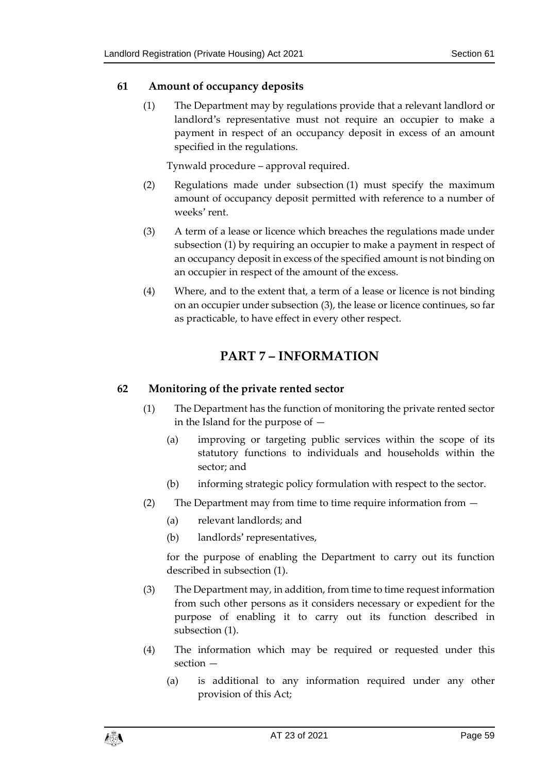#### <span id="page-58-3"></span><span id="page-58-0"></span>**61 Amount of occupancy deposits**

(1) The Department may by regulations provide that a relevant landlord or landlord's representative must not require an occupier to make a payment in respect of an occupancy deposit in excess of an amount specified in the regulations.

Tynwald procedure – approval required.

- (2) Regulations made under subsection (1) must specify the maximum amount of occupancy deposit permitted with reference to a number of weeks' rent.
- (3) A term of a lease or licence which breaches the regulations made under subsection (1) by requiring an occupier to make a payment in respect of an occupancy deposit in excess of the specified amount is not binding on an occupier in respect of the amount of the excess.
- <span id="page-58-1"></span>(4) Where, and to the extent that, a term of a lease or licence is not binding on an occupier under subsection (3), the lease or licence continues, so far as practicable, to have effect in every other respect.

## **PART 7 – INFORMATION**

#### <span id="page-58-2"></span>**62 Monitoring of the private rented sector**

- (1) The Department has the function of monitoring the private rented sector in the Island for the purpose of —
	- (a) improving or targeting public services within the scope of its statutory functions to individuals and households within the sector; and
	- (b) informing strategic policy formulation with respect to the sector.
- (2) The Department may from time to time require information from
	- (a) relevant landlords; and
	- (b) landlords' representatives,

for the purpose of enabling the Department to carry out its function described in subsection (1).

- (3) The Department may, in addition, from time to time request information from such other persons as it considers necessary or expedient for the purpose of enabling it to carry out its function described in subsection (1).
- (4) The information which may be required or requested under this section —
	- (a) is additional to any information required under any other provision of this Act;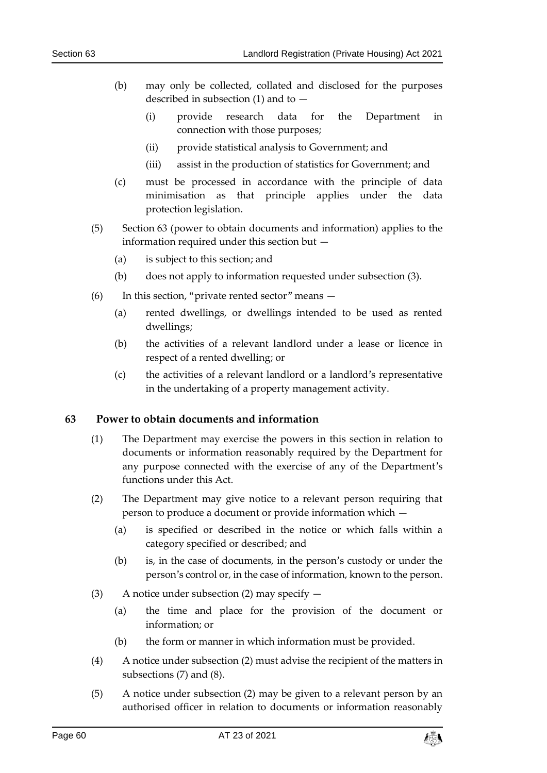- (b) may only be collected, collated and disclosed for the purposes described in subsection (1) and to —
	- (i) provide research data for the Department in connection with those purposes;
	- (ii) provide statistical analysis to Government; and
	- (iii) assist in the production of statistics for Government; and
- (c) must be processed in accordance with the principle of data minimisation as that principle applies under the data protection legislation.
- (5) Section [63](#page-59-0) (power to obtain documents and information) applies to the information required under this section but —
	- (a) is subject to this section; and
	- (b) does not apply to information requested under subsection (3).
- (6) In this section, "private rented sector" means
	- (a) rented dwellings, or dwellings intended to be used as rented dwellings;
	- (b) the activities of a relevant landlord under a lease or licence in respect of a rented dwelling; or
	- (c) the activities of a relevant landlord or a landlord's representative in the undertaking of a property management activity.

#### <span id="page-59-0"></span>**63 Power to obtain documents and information**

- (1) The Department may exercise the powers in this section in relation to documents or information reasonably required by the Department for any purpose connected with the exercise of any of the Department's functions under this Act.
- (2) The Department may give notice to a relevant person requiring that person to produce a document or provide information which —
	- (a) is specified or described in the notice or which falls within a category specified or described; and
	- (b) is, in the case of documents, in the person's custody or under the person's control or, in the case of information, known to the person.
- (3) A notice under subsection (2) may specify  $-$ 
	- (a) the time and place for the provision of the document or information; or
	- (b) the form or manner in which information must be provided.
- (4) A notice under subsection (2) must advise the recipient of the matters in subsections (7) and (8).
- (5) A notice under subsection (2) may be given to a relevant person by an authorised officer in relation to documents or information reasonably

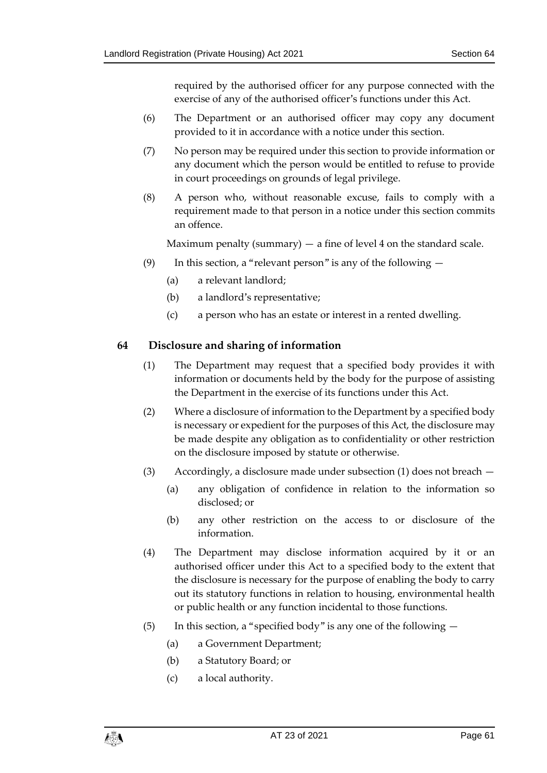required by the authorised officer for any purpose connected with the exercise of any of the authorised officer's functions under this Act.

- (6) The Department or an authorised officer may copy any document provided to it in accordance with a notice under this section.
- (7) No person may be required under this section to provide information or any document which the person would be entitled to refuse to provide in court proceedings on grounds of legal privilege.
- (8) A person who, without reasonable excuse, fails to comply with a requirement made to that person in a notice under this section commits an offence.

Maximum penalty (summary)  $-$  a fine of level 4 on the standard scale.

- (9) In this section, a "relevant person" is any of the following  $-$ 
	- (a) a relevant landlord;
	- (b) a landlord's representative;
	- (c) a person who has an estate or interest in a rented dwelling.

#### <span id="page-60-0"></span>**64 Disclosure and sharing of information**

- (1) The Department may request that a specified body provides it with information or documents held by the body for the purpose of assisting the Department in the exercise of its functions under this Act.
- (2) Where a disclosure of information to the Department by a specified body is necessary or expedient for the purposes of this Act, the disclosure may be made despite any obligation as to confidentiality or other restriction on the disclosure imposed by statute or otherwise.
- (3) Accordingly, a disclosure made under subsection (1) does not breach
	- (a) any obligation of confidence in relation to the information so disclosed; or
	- (b) any other restriction on the access to or disclosure of the information.
- (4) The Department may disclose information acquired by it or an authorised officer under this Act to a specified body to the extent that the disclosure is necessary for the purpose of enabling the body to carry out its statutory functions in relation to housing, environmental health or public health or any function incidental to those functions.
- (5) In this section, a "specified body" is any one of the following  $-$ 
	- (a) a Government Department;
	- (b) a Statutory Board; or
	- (c) a local authority.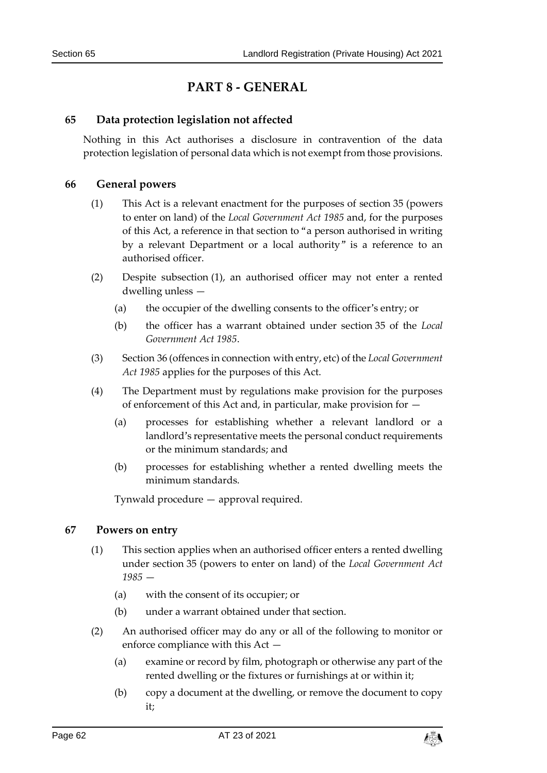## **PART 8 - GENERAL**

#### <span id="page-61-1"></span><span id="page-61-0"></span>**65 Data protection legislation not affected**

Nothing in this Act authorises a disclosure in contravention of the data protection legislation of personal data which is not exempt from those provisions.

#### <span id="page-61-2"></span>**66 General powers**

- (1) This Act is a relevant enactment for the purposes of section 35 (powers to enter on land) of the *Local Government Act 1985* and, for the purposes of this Act, a reference in that section to "a person authorised in writing by a relevant Department or a local authority" is a reference to an authorised officer.
- (2) Despite subsection (1), an authorised officer may not enter a rented dwelling unless —
	- (a) the occupier of the dwelling consents to the officer's entry; or
	- (b) the officer has a warrant obtained under section 35 of the *Local Government Act 1985*.
- (3) Section 36 (offences in connection with entry, etc) of the *Local Government Act 1985* applies for the purposes of this Act.
- (4) The Department must by regulations make provision for the purposes of enforcement of this Act and, in particular, make provision for —
	- (a) processes for establishing whether a relevant landlord or a landlord's representative meets the personal conduct requirements or the minimum standards; and
	- (b) processes for establishing whether a rented dwelling meets the minimum standards.

Tynwald procedure — approval required.

#### <span id="page-61-3"></span>**67 Powers on entry**

- (1) This section applies when an authorised officer enters a rented dwelling under section 35 (powers to enter on land) of the *Local Government Act 1985* —
	- (a) with the consent of its occupier; or
	- (b) under a warrant obtained under that section.
- (2) An authorised officer may do any or all of the following to monitor or enforce compliance with this Act —
	- (a) examine or record by film, photograph or otherwise any part of the rented dwelling or the fixtures or furnishings at or within it;
	- (b) copy a document at the dwelling, or remove the document to copy it;

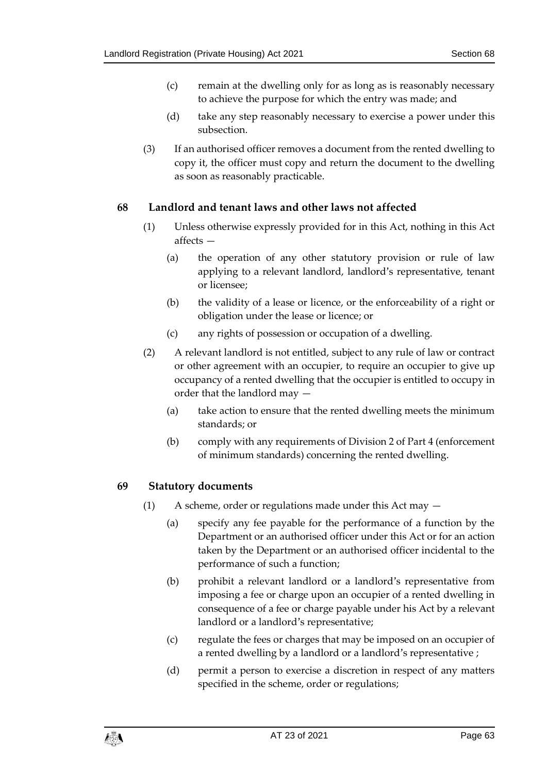- (c) remain at the dwelling only for as long as is reasonably necessary to achieve the purpose for which the entry was made; and
- (d) take any step reasonably necessary to exercise a power under this subsection.
- (3) If an authorised officer removes a document from the rented dwelling to copy it, the officer must copy and return the document to the dwelling as soon as reasonably practicable.

#### <span id="page-62-0"></span>**68 Landlord and tenant laws and other laws not affected**

- (1) Unless otherwise expressly provided for in this Act, nothing in this Act affects —
	- (a) the operation of any other statutory provision or rule of law applying to a relevant landlord, landlord's representative, tenant or licensee;
	- (b) the validity of a lease or licence, or the enforceability of a right or obligation under the lease or licence; or
	- (c) any rights of possession or occupation of a dwelling.
- (2) A relevant landlord is not entitled, subject to any rule of law or contract or other agreement with an occupier, to require an occupier to give up occupancy of a rented dwelling that the occupier is entitled to occupy in order that the landlord may —
	- (a) take action to ensure that the rented dwelling meets the minimum standards; or
	- (b) comply with any requirements of Division 2 of Part 4 (enforcement of minimum standards) concerning the rented dwelling.

#### <span id="page-62-1"></span>**69 Statutory documents**

- (1) A scheme, order or regulations made under this Act may
	- (a) specify any fee payable for the performance of a function by the Department or an authorised officer under this Act or for an action taken by the Department or an authorised officer incidental to the performance of such a function;
	- (b) prohibit a relevant landlord or a landlord's representative from imposing a fee or charge upon an occupier of a rented dwelling in consequence of a fee or charge payable under his Act by a relevant landlord or a landlord's representative;
	- (c) regulate the fees or charges that may be imposed on an occupier of a rented dwelling by a landlord or a landlord's representative ;
	- (d) permit a person to exercise a discretion in respect of any matters specified in the scheme, order or regulations;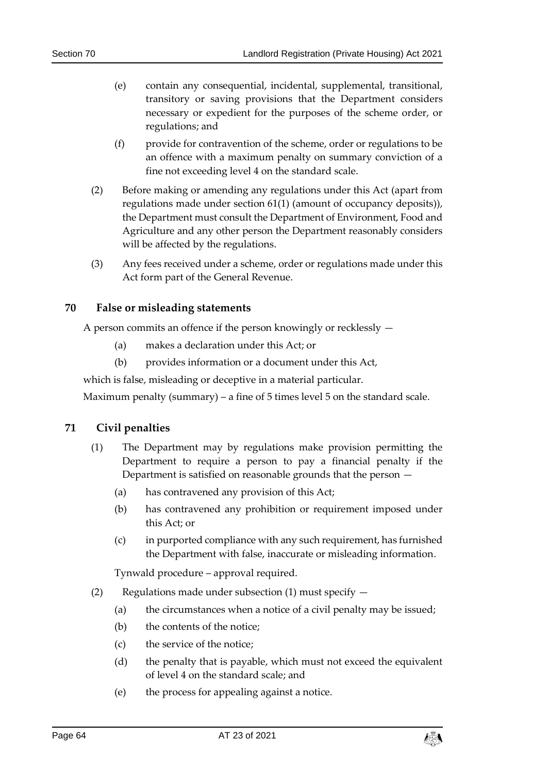- (e) contain any consequential, incidental, supplemental, transitional, transitory or saving provisions that the Department considers necessary or expedient for the purposes of the scheme order, or regulations; and
- (f) provide for contravention of the scheme, order or regulations to be an offence with a maximum penalty on summary conviction of a fine not exceeding level 4 on the standard scale.
- (2) Before making or amending any regulations under this Act (apart from regulations made under section [61\(1\)](#page-58-3) (amount of occupancy deposits)), the Department must consult the Department of Environment, Food and Agriculture and any other person the Department reasonably considers will be affected by the regulations.
- (3) Any fees received under a scheme, order or regulations made under this Act form part of the General Revenue.

#### <span id="page-63-0"></span>**70 False or misleading statements**

A person commits an offence if the person knowingly or recklessly —

- (a) makes a declaration under this Act; or
- (b) provides information or a document under this Act,

which is false, misleading or deceptive in a material particular.

Maximum penalty (summary) – a fine of 5 times level 5 on the standard scale.

#### <span id="page-63-1"></span>**71 Civil penalties**

- (1) The Department may by regulations make provision permitting the Department to require a person to pay a financial penalty if the Department is satisfied on reasonable grounds that the person —
	- (a) has contravened any provision of this Act;
	- (b) has contravened any prohibition or requirement imposed under this Act; or
	- (c) in purported compliance with any such requirement, has furnished the Department with false, inaccurate or misleading information.

Tynwald procedure – approval required.

- (2) Regulations made under subsection (1) must specify  $-$ 
	- (a) the circumstances when a notice of a civil penalty may be issued;
	- (b) the contents of the notice;
	- (c) the service of the notice;
	- (d) the penalty that is payable, which must not exceed the equivalent of level 4 on the standard scale; and
	- (e) the process for appealing against a notice.

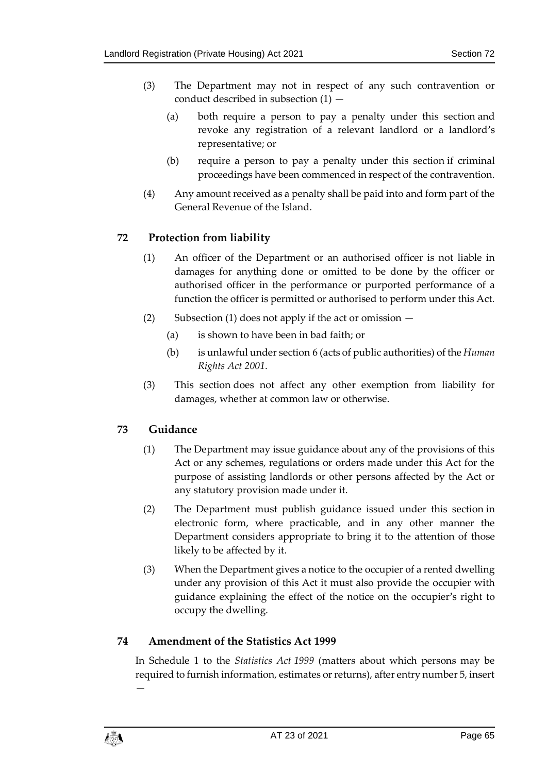- (3) The Department may not in respect of any such contravention or conduct described in subsection (1) —
	- (a) both require a person to pay a penalty under this section and revoke any registration of a relevant landlord or a landlord's representative; or
	- (b) require a person to pay a penalty under this section if criminal proceedings have been commenced in respect of the contravention.
- (4) Any amount received as a penalty shall be paid into and form part of the General Revenue of the Island.

#### <span id="page-64-0"></span>**72 Protection from liability**

- (1) An officer of the Department or an authorised officer is not liable in damages for anything done or omitted to be done by the officer or authorised officer in the performance or purported performance of a function the officer is permitted or authorised to perform under this Act.
- (2) Subsection (1) does not apply if the act or omission
	- (a) is shown to have been in bad faith; or
	- (b) is unlawful under section 6 (acts of public authorities) of the *Human Rights Act 2001*.
- (3) This section does not affect any other exemption from liability for damages, whether at common law or otherwise.

#### <span id="page-64-1"></span>**73 Guidance**

- (1) The Department may issue guidance about any of the provisions of this Act or any schemes, regulations or orders made under this Act for the purpose of assisting landlords or other persons affected by the Act or any statutory provision made under it.
- (2) The Department must publish guidance issued under this section in electronic form, where practicable, and in any other manner the Department considers appropriate to bring it to the attention of those likely to be affected by it.
- (3) When the Department gives a notice to the occupier of a rented dwelling under any provision of this Act it must also provide the occupier with guidance explaining the effect of the notice on the occupier's right to occupy the dwelling.

#### <span id="page-64-2"></span>**74 Amendment of the Statistics Act 1999**

In Schedule 1 to the *Statistics Act 1999* (matters about which persons may be required to furnish information, estimates or returns), after entry number 5, insert



—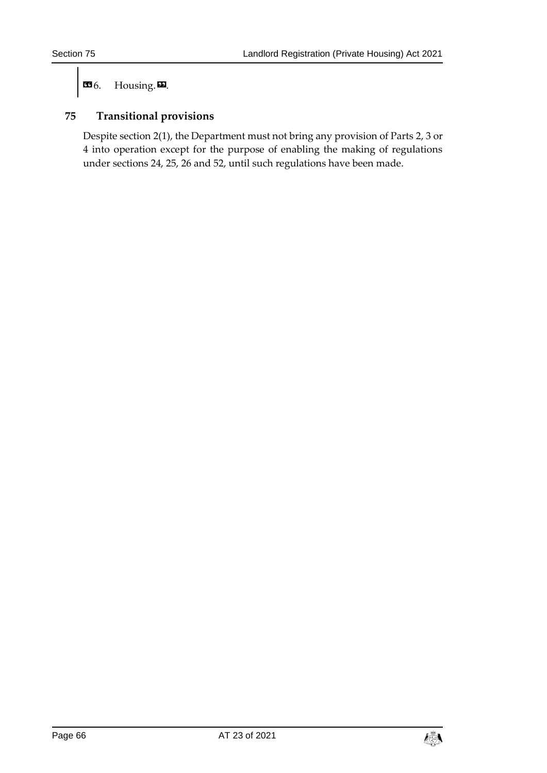$\mathbf{G}$ 6. Housing. $\mathbf{E}$ .

#### <span id="page-65-0"></span>**75 Transitional provisions**

Despite section [2\(1\),](#page-6-3) the Department must not bring any provision of Parts 2, 3 or 4 into operation except for the purpose of enabling the making of regulations under sections [24,](#page-29-1) [25,](#page-30-0) [26](#page-31-1) and [52,](#page-52-1) until such regulations have been made.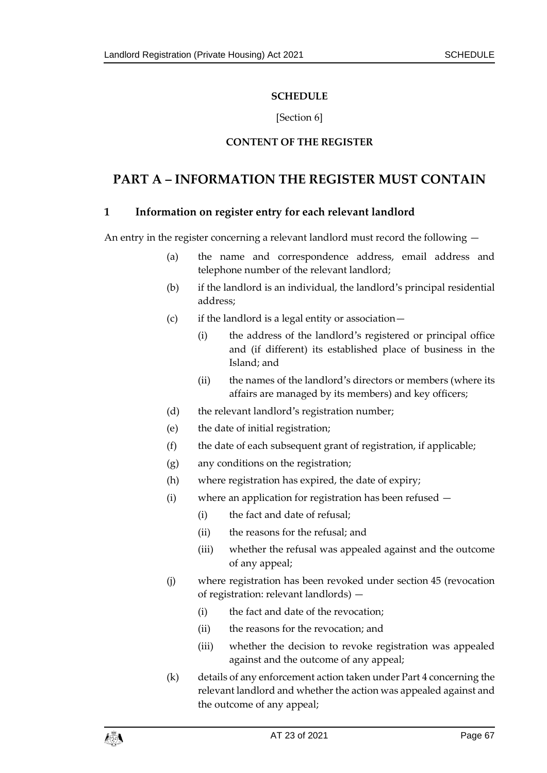#### **SCHEDULE**

#### [Section [6\]](#page-10-3)

#### **CONTENT OF THE REGISTER**

## <span id="page-66-1"></span><span id="page-66-0"></span>**PART A – INFORMATION THE REGISTER MUST CONTAIN**

#### **1 Information on register entry for each relevant landlord**

An entry in the register concerning a relevant landlord must record the following —

- (a) the name and correspondence address, email address and telephone number of the relevant landlord;
- (b) if the landlord is an individual, the landlord's principal residential address;
- (c) if the landlord is a legal entity or association—
	- (i) the address of the landlord's registered or principal office and (if different) its established place of business in the Island; and
	- (ii) the names of the landlord's directors or members (where its affairs are managed by its members) and key officers;
- (d) the relevant landlord's registration number;
- (e) the date of initial registration;
- (f) the date of each subsequent grant of registration, if applicable;
- (g) any conditions on the registration;
- (h) where registration has expired, the date of expiry;
- (i) where an application for registration has been refused
	- (i) the fact and date of refusal;
	- (ii) the reasons for the refusal; and
	- (iii) whether the refusal was appealed against and the outcome of any appeal;
- (j) where registration has been revoked under section [45](#page-46-0) (revocation of registration: relevant landlords) —
	- (i) the fact and date of the revocation;
	- (ii) the reasons for the revocation; and
	- (iii) whether the decision to revoke registration was appealed against and the outcome of any appeal;
- (k) details of any enforcement action taken under Part 4 concerning the relevant landlord and whether the action was appealed against and the outcome of any appeal;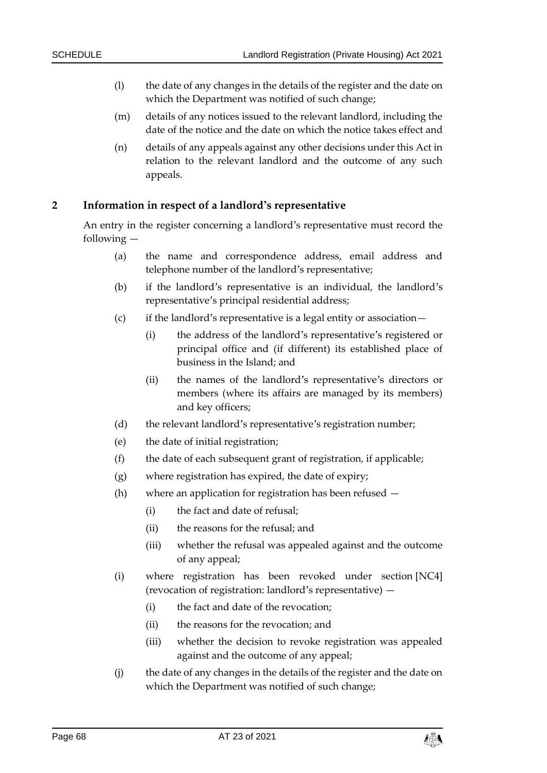- (l) the date of any changes in the details of the register and the date on which the Department was notified of such change;
- (m) details of any notices issued to the relevant landlord, including the date of the notice and the date on which the notice takes effect and
- (n) details of any appeals against any other decisions under this Act in relation to the relevant landlord and the outcome of any such appeals.

#### **2 Information in respect of a landlord's representative**

An entry in the register concerning a landlord's representative must record the following —

- (a) the name and correspondence address, email address and telephone number of the landlord's representative;
- (b) if the landlord's representative is an individual, the landlord's representative's principal residential address;
- (c) if the landlord's representative is a legal entity or association—
	- (i) the address of the landlord's representative's registered or principal office and (if different) its established place of business in the Island; and
	- (ii) the names of the landlord's representative's directors or members (where its affairs are managed by its members) and key officers;
- (d) the relevant landlord's representative's registration number;
- (e) the date of initial registration;
- (f) the date of each subsequent grant of registration, if applicable;
- (g) where registration has expired, the date of expiry;
- (h) where an application for registration has been refused
	- (i) the fact and date of refusal;
	- (ii) the reasons for the refusal; and
	- (iii) whether the refusal was appealed against and the outcome of any appeal;
- (i) where registration has been revoked under section [NC4] (revocation of registration: landlord's representative) —
	- (i) the fact and date of the revocation;
	- (ii) the reasons for the revocation; and
	- (iii) whether the decision to revoke registration was appealed against and the outcome of any appeal;
- (j) the date of any changes in the details of the register and the date on which the Department was notified of such change;

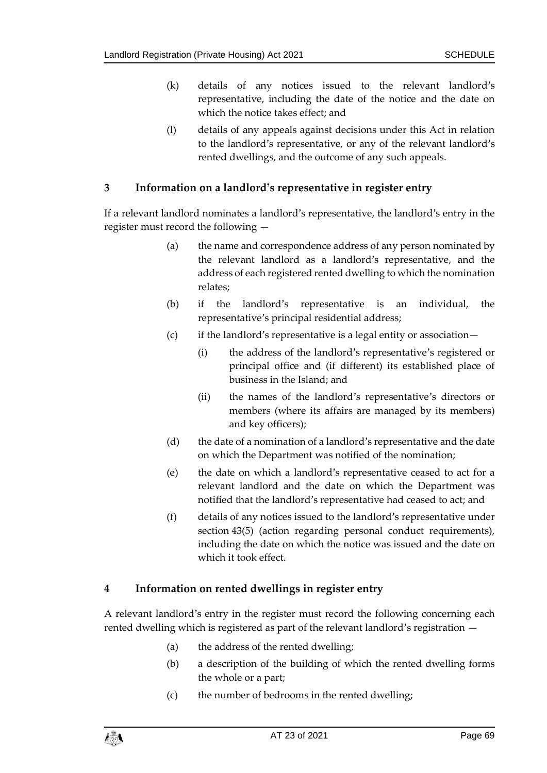- (k) details of any notices issued to the relevant landlord's representative, including the date of the notice and the date on which the notice takes effect; and
- (l) details of any appeals against decisions under this Act in relation to the landlord's representative, or any of the relevant landlord's rented dwellings, and the outcome of any such appeals.

#### **3 Information on a landlord's representative in register entry**

If a relevant landlord nominates a landlord's representative, the landlord's entry in the register must record the following —

- (a) the name and correspondence address of any person nominated by the relevant landlord as a landlord's representative, and the address of each registered rented dwelling to which the nomination relates;
- (b) if the landlord's representative is an individual, the representative's principal residential address;
- (c) if the landlord's representative is a legal entity or association—
	- (i) the address of the landlord's representative's registered or principal office and (if different) its established place of business in the Island; and
	- (ii) the names of the landlord's representative's directors or members (where its affairs are managed by its members) and key officers);
- (d) the date of a nomination of a landlord's representative and the date on which the Department was notified of the nomination;
- (e) the date on which a landlord's representative ceased to act for a relevant landlord and the date on which the Department was notified that the landlord's representative had ceased to act; and
- (f) details of any notices issued to the landlord's representative under section [43\(5\)](#page-44-1) (action regarding personal conduct requirements), including the date on which the notice was issued and the date on which it took effect.

#### **4 Information on rented dwellings in register entry**

A relevant landlord's entry in the register must record the following concerning each rented dwelling which is registered as part of the relevant landlord's registration —

- (a) the address of the rented dwelling;
- (b) a description of the building of which the rented dwelling forms the whole or a part;
- (c) the number of bedrooms in the rented dwelling;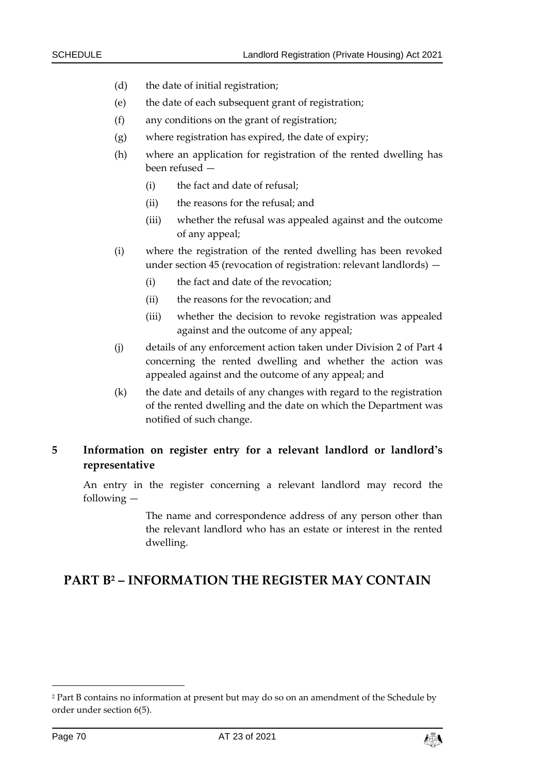- (d) the date of initial registration;
- (e) the date of each subsequent grant of registration;
- (f) any conditions on the grant of registration;
- (g) where registration has expired, the date of expiry;
- (h) where an application for registration of the rented dwelling has been refused —
	- (i) the fact and date of refusal;
	- (ii) the reasons for the refusal; and
	- (iii) whether the refusal was appealed against and the outcome of any appeal;
- (i) where the registration of the rented dwelling has been revoked under section [45](#page-46-0) (revocation of registration: relevant landlords) —
	- (i) the fact and date of the revocation;
	- (ii) the reasons for the revocation; and
	- (iii) whether the decision to revoke registration was appealed against and the outcome of any appeal;
- (j) details of any enforcement action taken under Division 2 of Part 4 concerning the rented dwelling and whether the action was appealed against and the outcome of any appeal; and
- (k) the date and details of any changes with regard to the registration of the rented dwelling and the date on which the Department was notified of such change.

#### **5 Information on register entry for a relevant landlord or landlord's representative**

An entry in the register concerning a relevant landlord may record the following —

> The name and correspondence address of any person other than the relevant landlord who has an estate or interest in the rented dwelling.

### **PART B<sup>2</sup> – INFORMATION THE REGISTER MAY CONTAIN**

-



<sup>2</sup> Part B contains no information at present but may do so on an amendment of the Schedule by order under section 6(5).